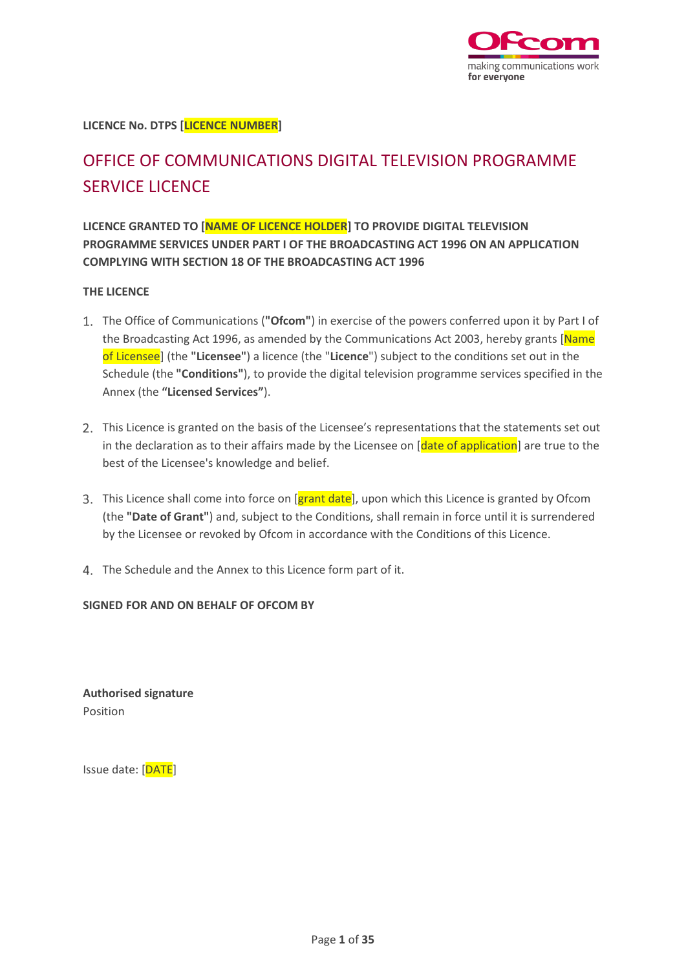

**LICENCE No. DTPS [LICENCE NUMBER]**

# OFFICE OF COMMUNICATIONS DIGITAL TELEVISION PROGRAMME SERVICE LICENCE

**LICENCE GRANTED TO [NAME OF LICENCE HOLDER] TO PROVIDE DIGITAL TELEVISION PROGRAMME SERVICES UNDER PART I OF THE BROADCASTING ACT 1996 ON AN APPLICATION COMPLYING WITH SECTION 18 OF THE BROADCASTING ACT 1996**

## **THE LICENCE**

- The Office of Communications (**"Ofcom"**) in exercise of the powers conferred upon it by Part I of the Broadcasting Act 1996, as amended by the Communications Act 2003, hereby grants [Name] of Licensee] (the **"Licensee"**) a licence (the "**Licence**") subject to the conditions set out in the Schedule (the **"Conditions"**), to provide the digital television programme services specified in the Annex (the **"Licensed Services"**).
- 2. This Licence is granted on the basis of the Licensee's representations that the statements set out in the declaration as to their affairs made by the Licensee on [date of application] are true to the best of the Licensee's knowledge and belief.
- 3. This Licence shall come into force on [grant date], upon which this Licence is granted by Ofcom (the **"Date of Grant"**) and, subject to the Conditions, shall remain in force until it is surrendered by the Licensee or revoked by Ofcom in accordance with the Conditions of this Licence.
- The Schedule and the Annex to this Licence form part of it.

## **SIGNED FOR AND ON BEHALF OF OFCOM BY**

**Authorised signature** Position

Issue date: [DATE]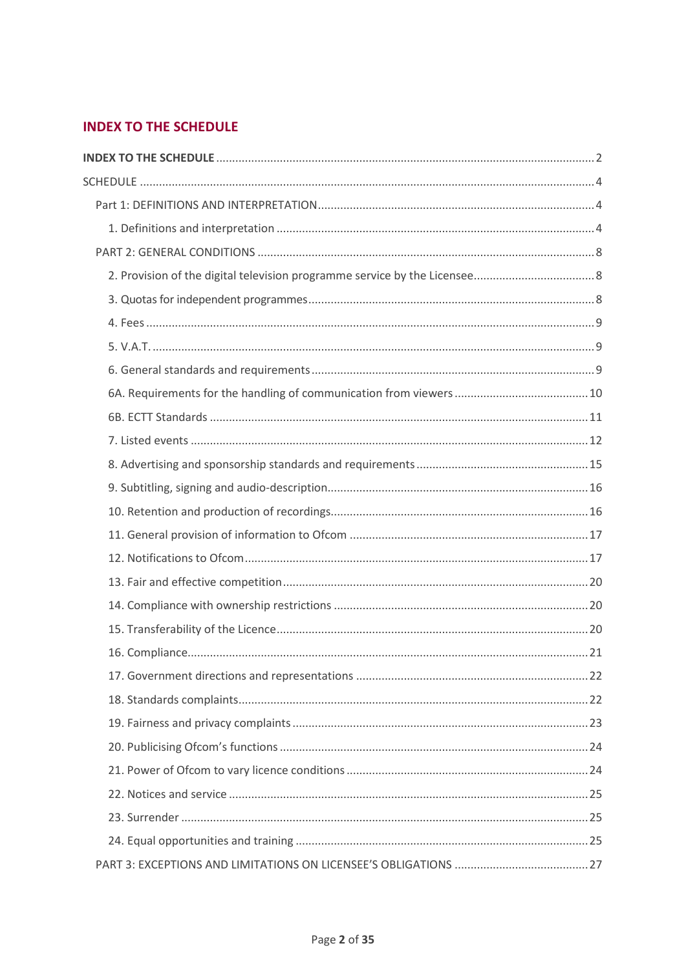## <span id="page-1-0"></span>**INDEX TO THE SCHEDULE**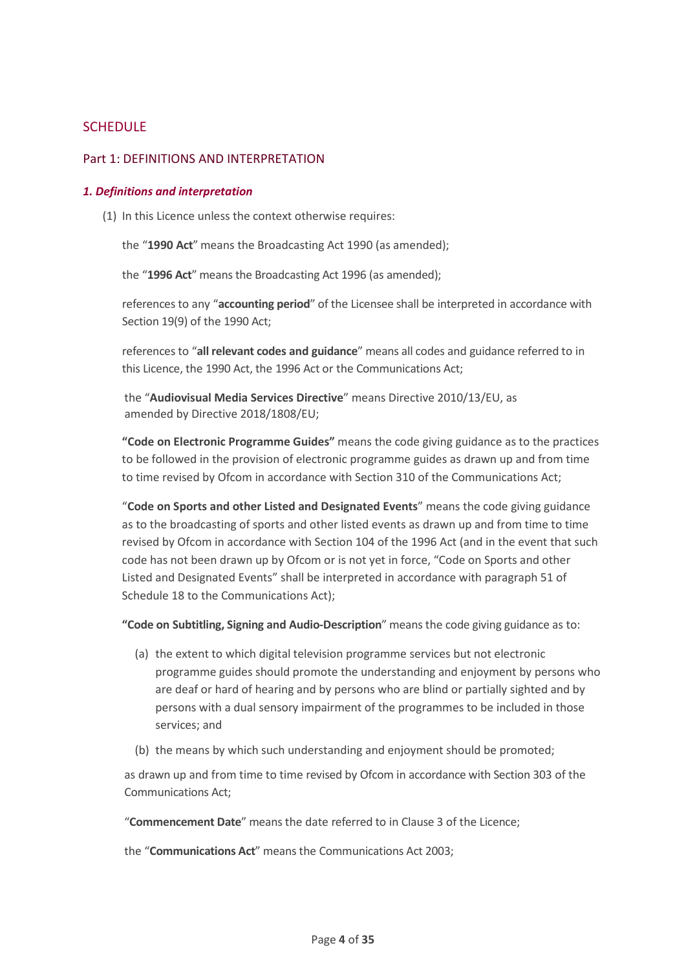## <span id="page-3-0"></span>**SCHEDULE**

## <span id="page-3-1"></span>Part 1: DEFINITIONS AND INTERPRETATION

#### <span id="page-3-2"></span>*1. Definitions and interpretation*

(1) In this Licence unless the context otherwise requires:

the "**1990 Act**" means the Broadcasting Act 1990 (as amended);

the "**1996 Act**" means the Broadcasting Act 1996 (as amended);

references to any "**accounting period**" of the Licensee shall be interpreted in accordance with Section 19(9) of the 1990 Act;

references to "**all relevant codes and guidance**" means all codes and guidance referred to in this Licence, the 1990 Act, the 1996 Act or the Communications Act;

the "**Audiovisual Media Services Directive**" means Directive 2010/13/EU, as amended by Directive 2018/1808/EU;

**"Code on Electronic Programme Guides"** means the code giving guidance as to the practices to be followed in the provision of electronic programme guides as drawn up and from time to time revised by Ofcom in accordance with Section 310 of the Communications Act;

"**Code on Sports and other Listed and Designated Events**" means the code giving guidance as to the broadcasting of sports and other listed events as drawn up and from time to time revised by Ofcom in accordance with Section 104 of the 1996 Act (and in the event that such code has not been drawn up by Ofcom or is not yet in force, "Code on Sports and other Listed and Designated Events" shall be interpreted in accordance with paragraph 51 of Schedule 18 to the Communications Act);

**"Code on Subtitling, Signing and Audio-Description**" means the code giving guidance as to:

- (a) the extent to which digital television programme services but not electronic programme guides should promote the understanding and enjoyment by persons who are deaf or hard of hearing and by persons who are blind or partially sighted and by persons with a dual sensory impairment of the programmes to be included in those services; and
- (b) the means by which such understanding and enjoyment should be promoted;

as drawn up and from time to time revised by Ofcom in accordance with Section 303 of the Communications Act;

"**Commencement Date**" means the date referred to in Clause 3 of the Licence;

the "**Communications Act**" means the Communications Act 2003;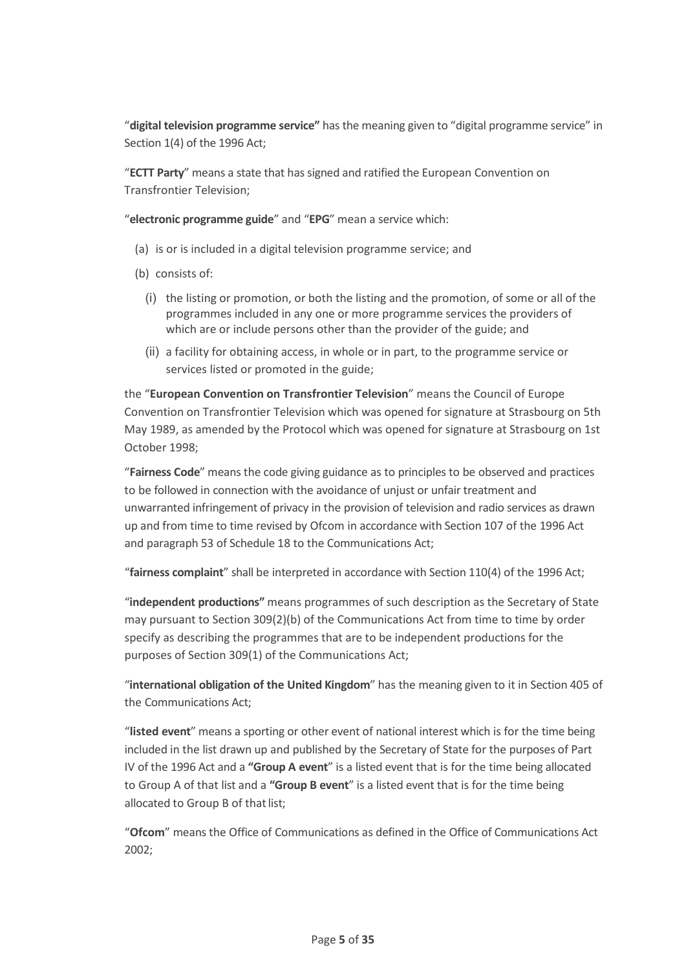"**digital television programme service"** has the meaning given to "digital programme service" in Section 1(4) of the 1996 Act;

"**ECTT Party**" means a state that has signed and ratified the European Convention on Transfrontier Television;

"**electronic programme guide**" and "**EPG**" mean a service which:

- (a) is or is included in a digital television programme service; and
- (b) consists of:
	- (i) the listing or promotion, or both the listing and the promotion, of some or all of the programmes included in any one or more programme services the providers of which are or include persons other than the provider of the guide; and
	- (ii) a facility for obtaining access, in whole or in part, to the programme service or services listed or promoted in the guide;

the "**European Convention on Transfrontier Television**" means the Council of Europe Convention on Transfrontier Television which was opened for signature at Strasbourg on 5th May 1989, as amended by the Protocol which was opened for signature at Strasbourg on 1st October 1998;

"**Fairness Code**" means the code giving guidance as to principles to be observed and practices to be followed in connection with the avoidance of unjust or unfair treatment and unwarranted infringement of privacy in the provision of television and radio services as drawn up and from time to time revised by Ofcom in accordance with Section 107 of the 1996 Act and paragraph 53 of Schedule 18 to the Communications Act;

"**fairness complaint**" shall be interpreted in accordance with Section 110(4) of the 1996 Act;

"**independent productions"** means programmes of such description as the Secretary of State may pursuant to Section 309(2)(b) of the Communications Act from time to time by order specify as describing the programmes that are to be independent productions for the purposes of Section 309(1) of the Communications Act;

"**international obligation of the United Kingdom**" has the meaning given to it in Section 405 of the Communications Act;

"**listed event**" means a sporting or other event of national interest which is for the time being included in the list drawn up and published by the Secretary of State for the purposes of Part IV of the 1996 Act and a **"Group A event**" is a listed event that is for the time being allocated to Group A of that list and a **"Group B event**" is a listed event that is for the time being allocated to Group B of that list:

"**Ofcom**" means the Office of Communications as defined in the Office of Communications Act 2002;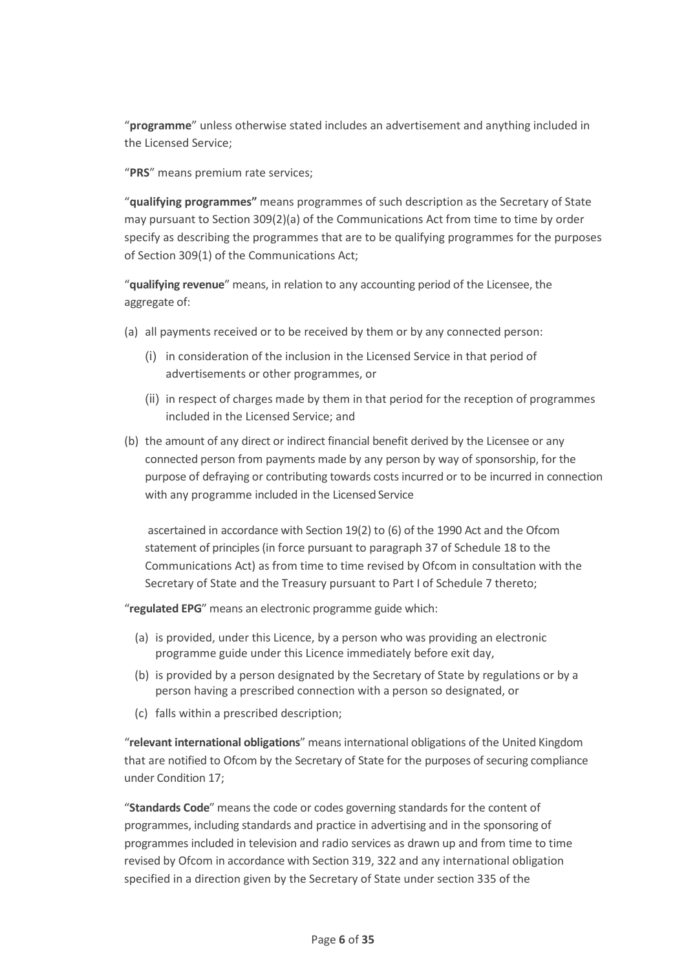"**programme**" unless otherwise stated includes an advertisement and anything included in the Licensed Service;

"**PRS**" means premium rate services;

"**qualifying programmes"** means programmes of such description as the Secretary of State may pursuant to Section 309(2)(a) of the Communications Act from time to time by order specify as describing the programmes that are to be qualifying programmes for the purposes of Section 309(1) of the Communications Act;

"**qualifying revenue**" means, in relation to any accounting period of the Licensee, the aggregate of:

- (a) all payments received or to be received by them or by any connected person:
	- (i) in consideration of the inclusion in the Licensed Service in that period of advertisements or other programmes, or
	- (ii) in respect of charges made by them in that period for the reception of programmes included in the Licensed Service; and
- (b) the amount of any direct or indirect financial benefit derived by the Licensee or any connected person from payments made by any person by way of sponsorship, for the purpose of defraying or contributing towards costs incurred or to be incurred in connection with any programme included in the Licensed Service

ascertained in accordance with Section 19(2) to (6) of the 1990 Act and the Ofcom statement of principles (in force pursuant to paragraph 37 of Schedule 18 to the Communications Act) as from time to time revised by Ofcom in consultation with the Secretary of State and the Treasury pursuant to Part I of Schedule 7 thereto;

"**regulated EPG**" means an electronic programme guide which:

- (a) is provided, under this Licence, by a person who was providing an electronic programme guide under this Licence immediately before exit day,
- (b) is provided by a person designated by the Secretary of State by regulations or by a person having a prescribed connection with a person so designated, or
- (c) falls within a prescribed description;

"**relevant international obligations**" means international obligations of the United Kingdom that are notified to Ofcom by the Secretary of State for the purposes of securing compliance under Condition 17;

"**Standards Code**" means the code or codes governing standards for the content of programmes, including standards and practice in advertising and in the sponsoring of programmes included in television and radio services as drawn up and from time to time revised by Ofcom in accordance with Section 319, 322 and any international obligation specified in a direction given by the Secretary of State under section 335 of the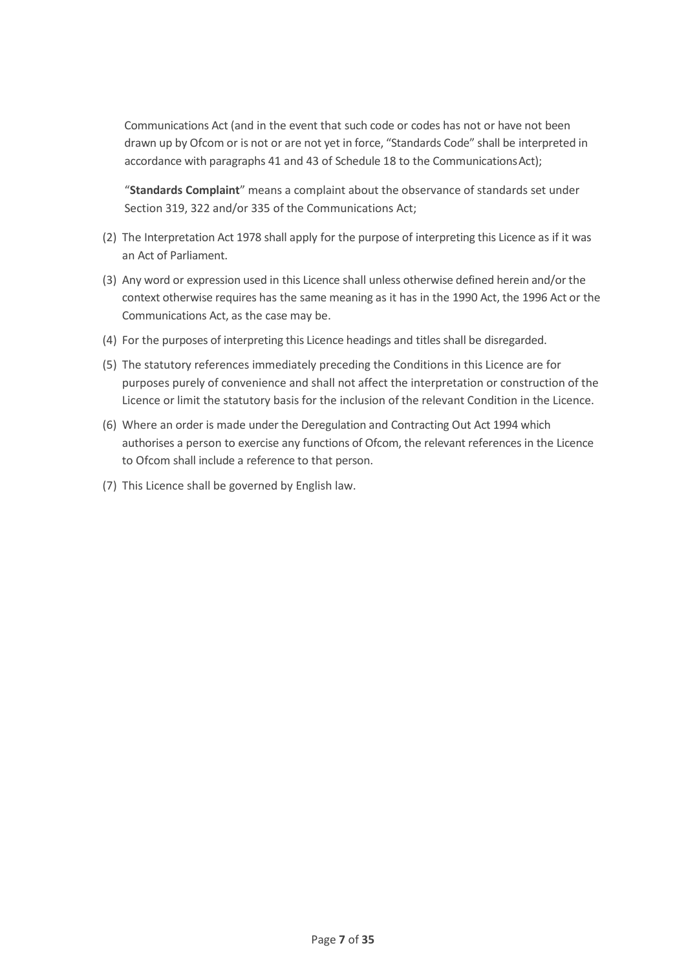Communications Act (and in the event that such code or codes has not or have not been drawn up by Ofcom or is not or are not yet in force, "Standards Code" shall be interpreted in accordance with paragraphs 41 and 43 of Schedule 18 to the Communications Act);

"**Standards Complaint**" means a complaint about the observance of standards set under Section 319, 322 and/or 335 of the Communications Act;

- (2) The Interpretation Act 1978 shall apply for the purpose of interpreting this Licence as if it was an Act of Parliament.
- (3) Any word or expression used in this Licence shall unless otherwise defined herein and/or the context otherwise requires has the same meaning as it has in the 1990 Act, the 1996 Act or the Communications Act, as the case may be.
- (4) For the purposes of interpreting this Licence headings and titles shall be disregarded.
- (5) The statutory references immediately preceding the Conditions in this Licence are for purposes purely of convenience and shall not affect the interpretation or construction of the Licence or limit the statutory basis for the inclusion of the relevant Condition in the Licence.
- (6) Where an order is made under the Deregulation and Contracting Out Act 1994 which authorises a person to exercise any functions of Ofcom, the relevant references in the Licence to Ofcom shall include a reference to that person.
- (7) This Licence shall be governed by English law.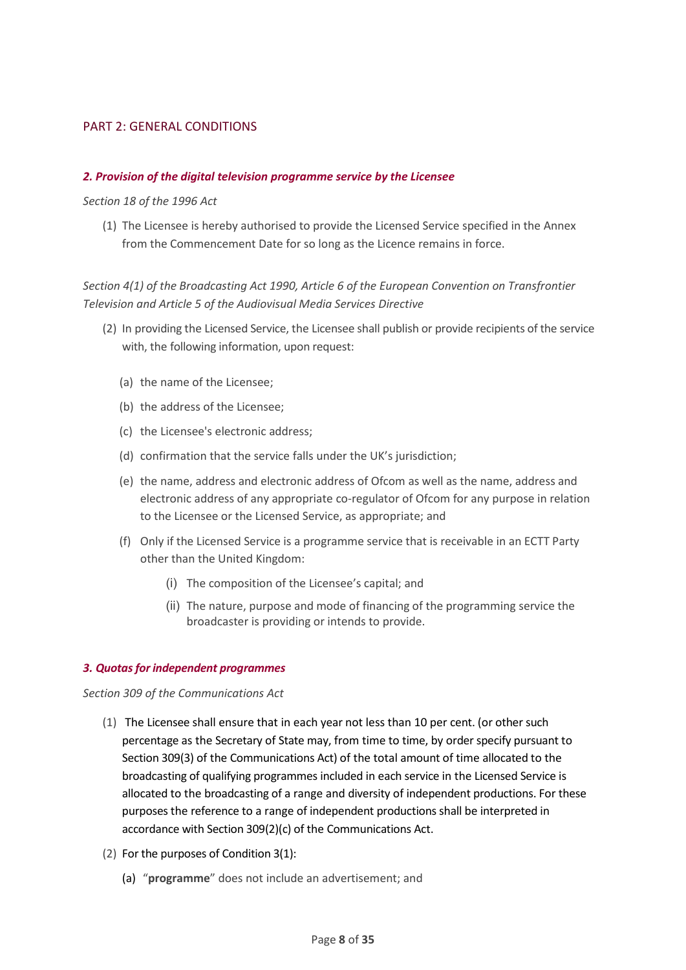## <span id="page-7-0"></span>PART 2: GENERAL CONDITIONS

## <span id="page-7-1"></span>*2. Provision of the digital television programme service by the Licensee*

*Section 18 of the 1996 Act*

(1) The Licensee is hereby authorised to provide the Licensed Service specified in the Annex from the Commencement Date for so long as the Licence remains in force.

## *Section 4(1) of the Broadcasting Act 1990, Article 6 of the European Convention on Transfrontier Television and Article 5 of the Audiovisual Media Services Directive*

- (2) In providing the Licensed Service, the Licensee shall publish or provide recipients of the service with, the following information, upon request:
	- (a) the name of the Licensee;
	- (b) the address of the Licensee;
	- (c) the Licensee's electronic address;
	- (d) confirmation that the service falls under the UK's jurisdiction;
	- (e) the name, address and electronic address of Ofcom as well as the name, address and electronic address of any appropriate co-regulator of Ofcom for any purpose in relation to the Licensee or the Licensed Service, as appropriate; and
	- (f) Only if the Licensed Service is a programme service that is receivable in an ECTT Party other than the United Kingdom:
		- (i) The composition of the Licensee's capital; and
		- (ii) The nature, purpose and mode of financing of the programming service the broadcaster is providing or intends to provide.

#### <span id="page-7-2"></span>*3. Quotas for independent programmes*

*Section 309 of the Communications Act*

- (1) The Licensee shall ensure that in each year not less than 10 per cent. (or other such percentage as the Secretary of State may, from time to time, by order specify pursuant to Section 309(3) of the Communications Act) of the total amount of time allocated to the broadcasting of qualifying programmes included in each service in the Licensed Service is allocated to the broadcasting of a range and diversity of independent productions. For these purposes the reference to a range of independent productions shall be interpreted in accordance with Section 309(2)(c) of the Communications Act.
- (2) For the purposes of Condition 3(1):
	- (a) "**programme**" does not include an advertisement; and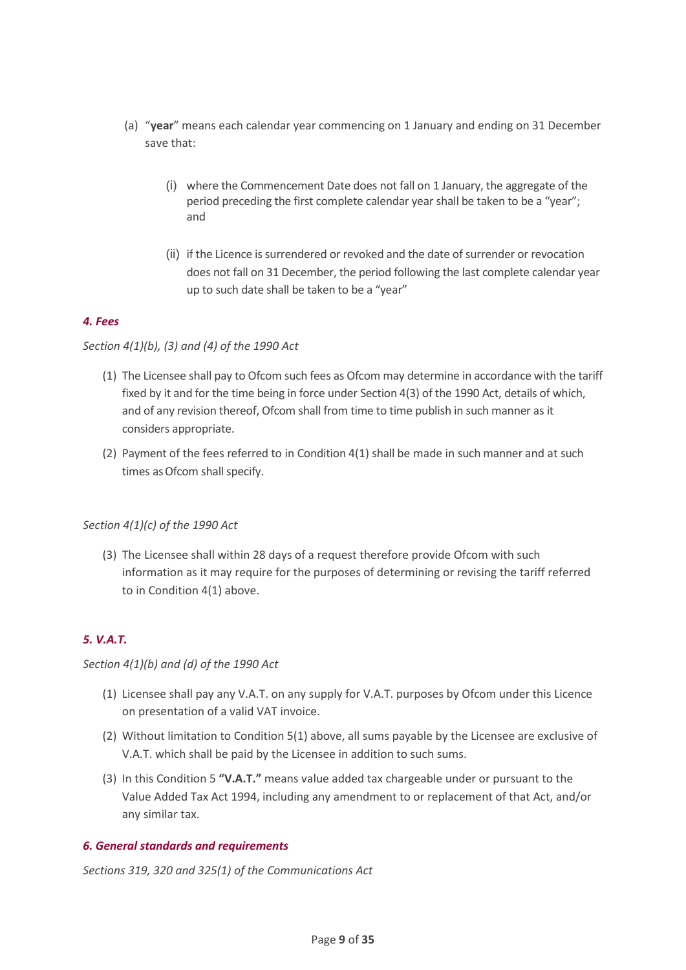- (a) "**year**" means each calendar year commencing on 1 January and ending on 31 December save that:
	- (i) where the Commencement Date does not fall on 1 January, the aggregate of the period preceding the first complete calendar year shall be taken to be a "year"; and
	- (ii) if the Licence is surrendered or revoked and the date of surrender or revocation does not fall on 31 December, the period following the last complete calendar year up to such date shall be taken to be a "year"

## <span id="page-8-0"></span>*4. Fees*

## *Section 4(1)(b), (3) and (4) of the 1990 Act*

- (1) The Licensee shall pay to Ofcom such fees as Ofcom may determine in accordance with the tariff fixed by it and for the time being in force under Section 4(3) of the 1990 Act, details of which, and of any revision thereof, Ofcom shall from time to time publish in such manner as it considers appropriate.
- (2) Payment of the fees referred to in Condition 4(1) shall be made in such manner and at such times as Ofcom shall specify.

## *Section 4(1)(c) of the 1990 Act*

(3) The Licensee shall within 28 days of a request therefore provide Ofcom with such information as it may require for the purposes of determining or revising the tariff referred to in Condition 4(1) above.

## <span id="page-8-1"></span>*5. V.A.T.*

## *Section 4(1)(b) and (d) of the 1990 Act*

- (1) Licensee shall pay any V.A.T. on any supply for V.A.T. purposes by Ofcom under this Licence on presentation of a valid VAT invoice.
- (2) Without limitation to Condition 5(1) above, all sums payable by the Licensee are exclusive of V.A.T. which shall be paid by the Licensee in addition to such sums.
- (3) In this Condition 5 **"V.A.T."** means value added tax chargeable under or pursuant to the Value Added Tax Act 1994, including any amendment to or replacement of that Act, and/or any similar tax.

## <span id="page-8-2"></span>*6. General standards and requirements*

*Sections 319, 320 and 325(1) of the Communications Act*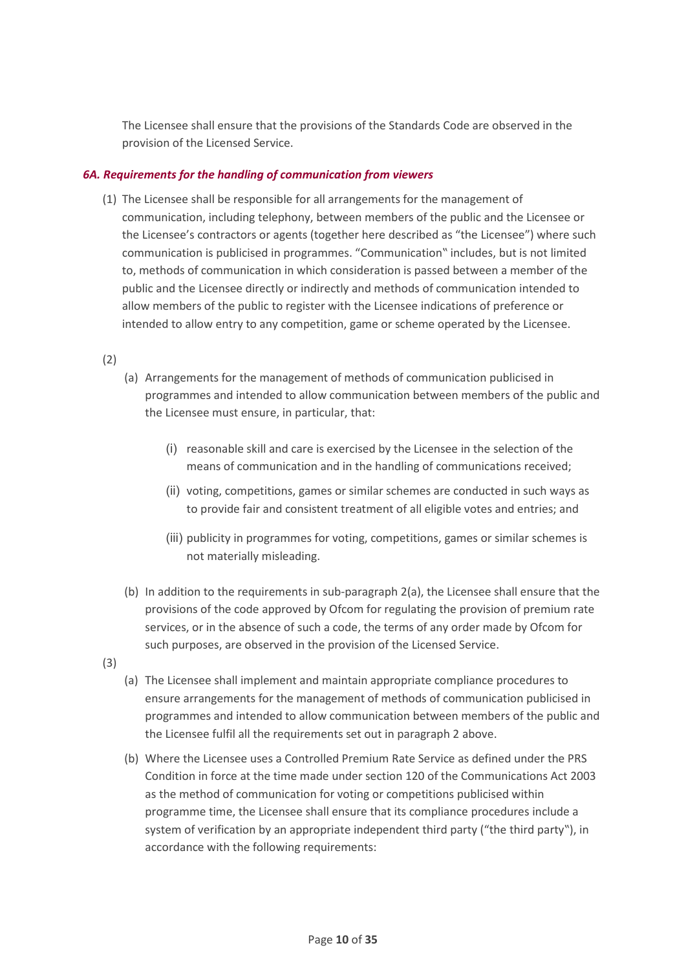The Licensee shall ensure that the provisions of the Standards Code are observed in the provision of the Licensed Service.

## <span id="page-9-0"></span>*6A. Requirements for the handling of communication from viewers*

(1) The Licensee shall be responsible for all arrangements for the management of communication, including telephony, between members of the public and the Licensee or the Licensee's contractors or agents (together here described as "the Licensee") where such communication is publicised in programmes. "Communication" includes, but is not limited to, methods of communication in which consideration is passed between a member of the public and the Licensee directly or indirectly and methods of communication intended to allow members of the public to register with the Licensee indications of preference or intended to allow entry to any competition, game or scheme operated by the Licensee.

(2)

- (a) Arrangements for the management of methods of communication publicised in programmes and intended to allow communication between members of the public and the Licensee must ensure, in particular, that:
	- (i) reasonable skill and care is exercised by the Licensee in the selection of the means of communication and in the handling of communications received;
	- (ii) voting, competitions, games or similar schemes are conducted in such ways as to provide fair and consistent treatment of all eligible votes and entries; and
	- (iii) publicity in programmes for voting, competitions, games or similar schemes is not materially misleading.
- (b) In addition to the requirements in sub-paragraph 2(a), the Licensee shall ensure that the provisions of the code approved by Ofcom for regulating the provision of premium rate services, or in the absence of such a code, the terms of any order made by Ofcom for such purposes, are observed in the provision of the Licensed Service.
- (3)
- (a) The Licensee shall implement and maintain appropriate compliance procedures to ensure arrangements for the management of methods of communication publicised in programmes and intended to allow communication between members of the public and the Licensee fulfil all the requirements set out in paragraph 2 above.
- (b) Where the Licensee uses a Controlled Premium Rate Service as defined under the PRS Condition in force at the time made under section 120 of the Communications Act 2003 as the method of communication for voting or competitions publicised within programme time, the Licensee shall ensure that its compliance procedures include a system of verification by an appropriate independent third party ("the third party"), in accordance with the following requirements: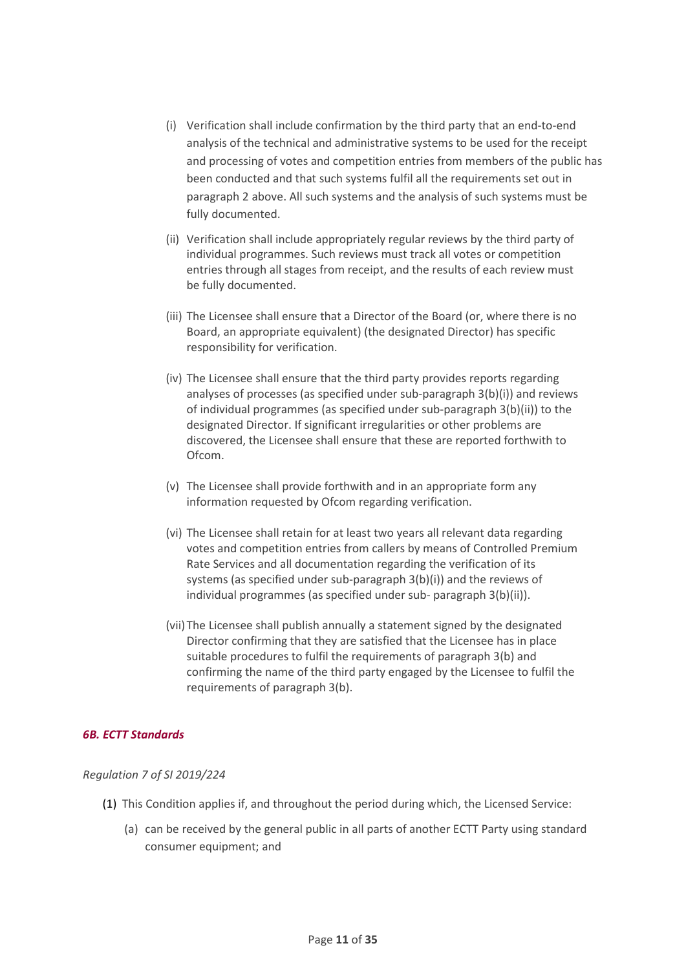- (i) Verification shall include confirmation by the third party that an end-to-end analysis of the technical and administrative systems to be used for the receipt and processing of votes and competition entries from members of the public has been conducted and that such systems fulfil all the requirements set out in paragraph 2 above. All such systems and the analysis of such systems must be fully documented.
- (ii) Verification shall include appropriately regular reviews by the third party of individual programmes. Such reviews must track all votes or competition entries through all stages from receipt, and the results of each review must be fully documented.
- (iii) The Licensee shall ensure that a Director of the Board (or, where there is no Board, an appropriate equivalent) (the designated Director) has specific responsibility for verification.
- (iv) The Licensee shall ensure that the third party provides reports regarding analyses of processes (as specified under sub-paragraph 3(b)(i)) and reviews of individual programmes (as specified under sub-paragraph 3(b)(ii)) to the designated Director. If significant irregularities or other problems are discovered, the Licensee shall ensure that these are reported forthwith to Ofcom.
- (v) The Licensee shall provide forthwith and in an appropriate form any information requested by Ofcom regarding verification.
- (vi) The Licensee shall retain for at least two years all relevant data regarding votes and competition entries from callers by means of Controlled Premium Rate Services and all documentation regarding the verification of its systems (as specified under sub-paragraph 3(b)(i)) and the reviews of individual programmes (as specified under sub- paragraph 3(b)(ii)).
- (vii)The Licensee shall publish annually a statement signed by the designated Director confirming that they are satisfied that the Licensee has in place suitable procedures to fulfil the requirements of paragraph 3(b) and confirming the name of the third party engaged by the Licensee to fulfil the requirements of paragraph 3(b).

## <span id="page-10-0"></span>*6B. ECTT Standards*

## *Regulation 7 of SI 2019/224*

- (1) This Condition applies if, and throughout the period during which, the Licensed Service:
	- (a) can be received by the general public in all parts of another ECTT Party using standard consumer equipment; and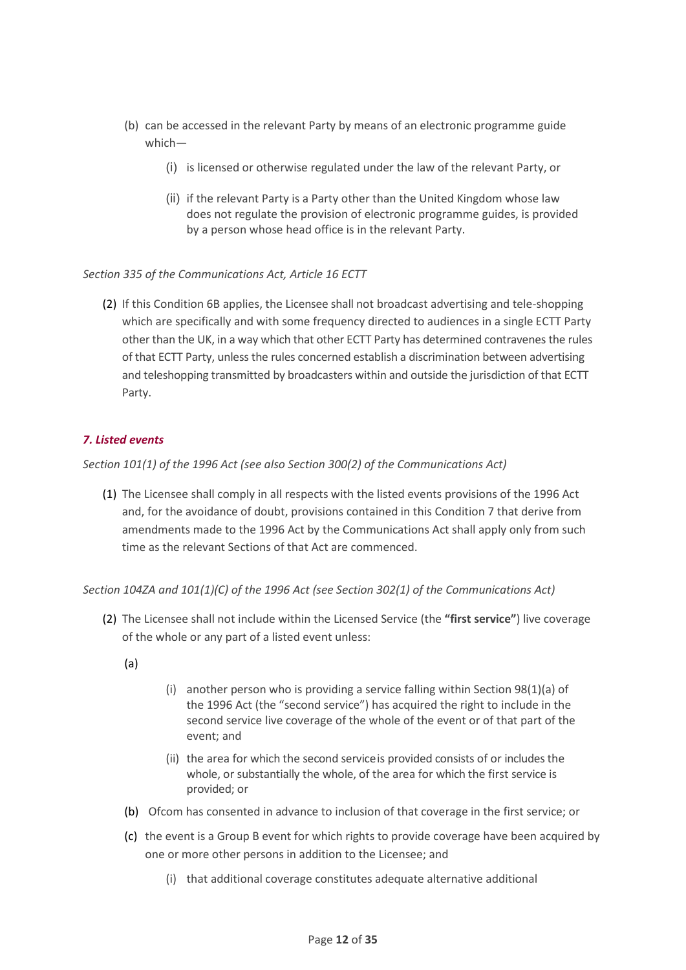- (b) can be accessed in the relevant Party by means of an electronic programme guide which—
	- (i) is licensed or otherwise regulated under the law of the relevant Party, or
	- (ii) if the relevant Party is a Party other than the United Kingdom whose law does not regulate the provision of electronic programme guides, is provided by a person whose head office is in the relevant Party.

## *Section 335 of the Communications Act, Article 16 ECTT*

(2) If this Condition 6B applies, the Licensee shall not broadcast advertising and tele-shopping which are specifically and with some frequency directed to audiences in a single ECTT Party other than the UK, in a way which that other ECTT Party has determined contravenes the rules of that ECTT Party, unless the rules concerned establish a discrimination between advertising and teleshopping transmitted by broadcasters within and outside the jurisdiction of that ECTT Party.

## <span id="page-11-0"></span>*7. Listed events*

*Section 101(1) of the 1996 Act (see also Section 300(2) of the Communications Act)*

(1) The Licensee shall comply in all respects with the listed events provisions of the 1996 Act and, for the avoidance of doubt, provisions contained in this Condition 7 that derive from amendments made to the 1996 Act by the Communications Act shall apply only from such time as the relevant Sections of that Act are commenced.

*Section 104ZA and 101(1)(C) of the 1996 Act (see Section 302(1) of the Communications Act)*

- (2) The Licensee shall not include within the Licensed Service (the **"first service"**) live coverage of the whole or any part of a listed event unless:
	- (a)
- (i) another person who is providing a service falling within Section 98(1)(a) of the 1996 Act (the "second service") has acquired the right to include in the second service live coverage of the whole of the event or of that part of the event; and
- (ii) the area for which the second serviceis provided consists of or includes the whole, or substantially the whole, of the area for which the first service is provided; or
- (b) Ofcom has consented in advance to inclusion of that coverage in the first service; or
- (c) the event is a Group B event for which rights to provide coverage have been acquired by one or more other persons in addition to the Licensee; and
	- (i) that additional coverage constitutes adequate alternative additional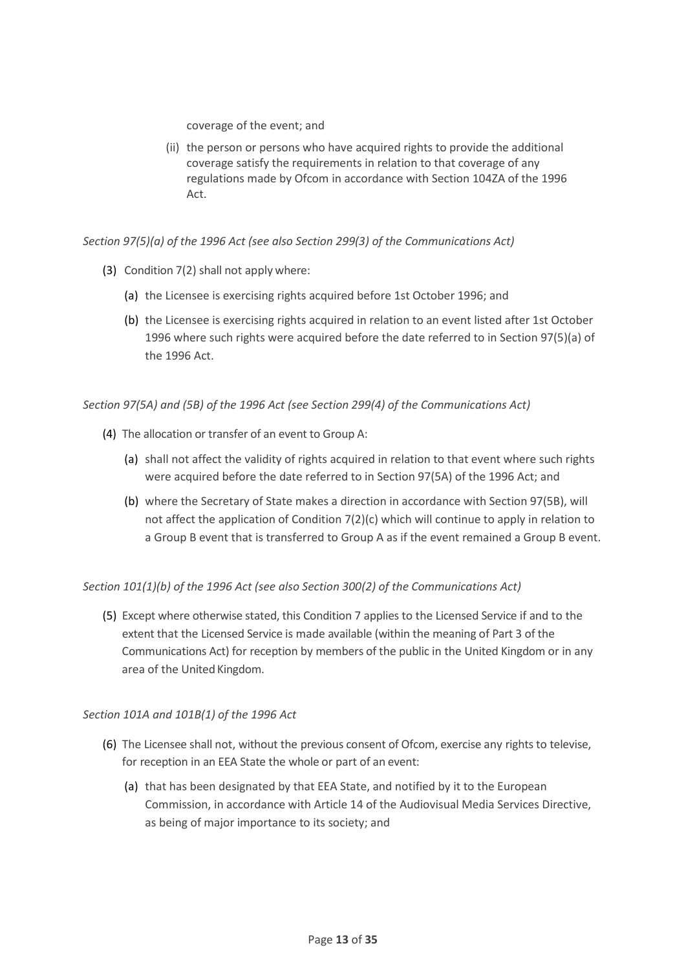coverage of the event; and

(ii) the person or persons who have acquired rights to provide the additional coverage satisfy the requirements in relation to that coverage of any regulations made by Ofcom in accordance with Section 104ZA of the 1996 Act.

*Section 97(5)(a) of the 1996 Act (see also Section 299(3) of the Communications Act)*

- (3) Condition 7(2) shall not apply where:
	- (a) the Licensee is exercising rights acquired before 1st October 1996; and
	- (b) the Licensee is exercising rights acquired in relation to an event listed after 1st October 1996 where such rights were acquired before the date referred to in Section 97(5)(a) of the 1996 Act.

*Section 97(5A) and (5B) of the 1996 Act (see Section 299(4) of the Communications Act)*

- (4) The allocation or transfer of an event to Group A:
	- (a) shall not affect the validity of rights acquired in relation to that event where such rights were acquired before the date referred to in Section 97(5A) of the 1996 Act; and
	- (b) where the Secretary of State makes a direction in accordance with Section 97(5B), will not affect the application of Condition 7(2)(c) which will continue to apply in relation to a Group B event that is transferred to Group A as if the event remained a Group B event.

*Section 101(1)(b) of the 1996 Act (see also Section 300(2) of the Communications Act)*

(5) Except where otherwise stated, this Condition 7 applies to the Licensed Service if and to the extent that the Licensed Service is made available (within the meaning of Part 3 of the Communications Act) for reception by members of the public in the United Kingdom or in any area of the United Kingdom.

## *Section 101A and 101B(1) of the 1996 Act*

- (6) The Licensee shall not, without the previous consent of Ofcom, exercise any rights to televise, for reception in an EEA State the whole or part of an event:
	- (a) that has been designated by that EEA State, and notified by it to the European Commission, in accordance with Article 14 of the Audiovisual Media Services Directive, as being of major importance to its society; and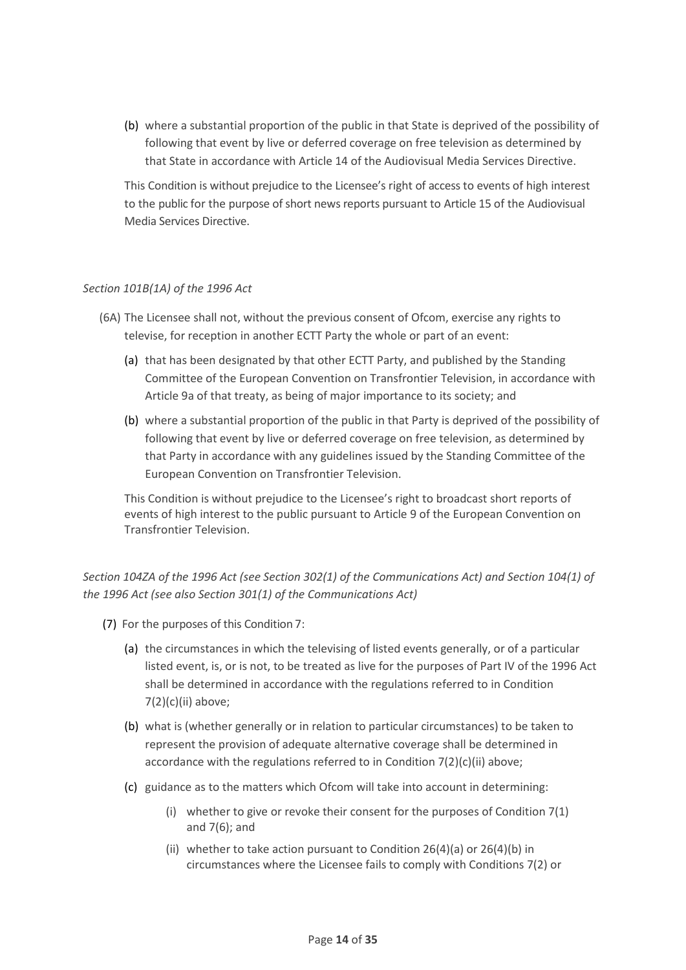(b) where a substantial proportion of the public in that State is deprived of the possibility of following that event by live or deferred coverage on free television as determined by that State in accordance with Article 14 of the Audiovisual Media Services Directive.

This Condition is without prejudice to the Licensee's right of access to events of high interest to the public for the purpose of short news reports pursuant to Article 15 of the Audiovisual Media Services Directive.

## *Section 101B(1A) of the 1996 Act*

- (6A) The Licensee shall not, without the previous consent of Ofcom, exercise any rights to televise, for reception in another ECTT Party the whole or part of an event:
	- (a) that has been designated by that other ECTT Party, and published by the Standing Committee of the European Convention on Transfrontier Television, in accordance with Article 9a of that treaty, as being of major importance to its society; and
	- (b) where a substantial proportion of the public in that Party is deprived of the possibility of following that event by live or deferred coverage on free television, as determined by that Party in accordance with any guidelines issued by the Standing Committee of the European Convention on Transfrontier Television.

This Condition is without prejudice to the Licensee's right to broadcast short reports of events of high interest to the public pursuant to Article 9 of the European Convention on Transfrontier Television.

## *Section 104ZA of the 1996 Act (see Section 302(1) of the Communications Act) and Section 104(1) of the 1996 Act (see also Section 301(1) of the Communications Act)*

- (7) For the purposes of this Condition 7:
	- (a) the circumstances in which the televising of listed events generally, or of a particular listed event, is, or is not, to be treated as live for the purposes of Part IV of the 1996 Act shall be determined in accordance with the regulations referred to in Condition 7(2)(c)(ii) above;
	- (b) what is (whether generally or in relation to particular circumstances) to be taken to represent the provision of adequate alternative coverage shall be determined in accordance with the regulations referred to in Condition 7(2)(c)(ii) above;
	- (c) guidance as to the matters which Ofcom will take into account in determining:
		- (i) whether to give or revoke their consent for the purposes of Condition 7(1) and 7(6); and
		- (ii) whether to take action pursuant to Condition 26(4)(a) or 26(4)(b) in circumstances where the Licensee fails to comply with Conditions 7(2) or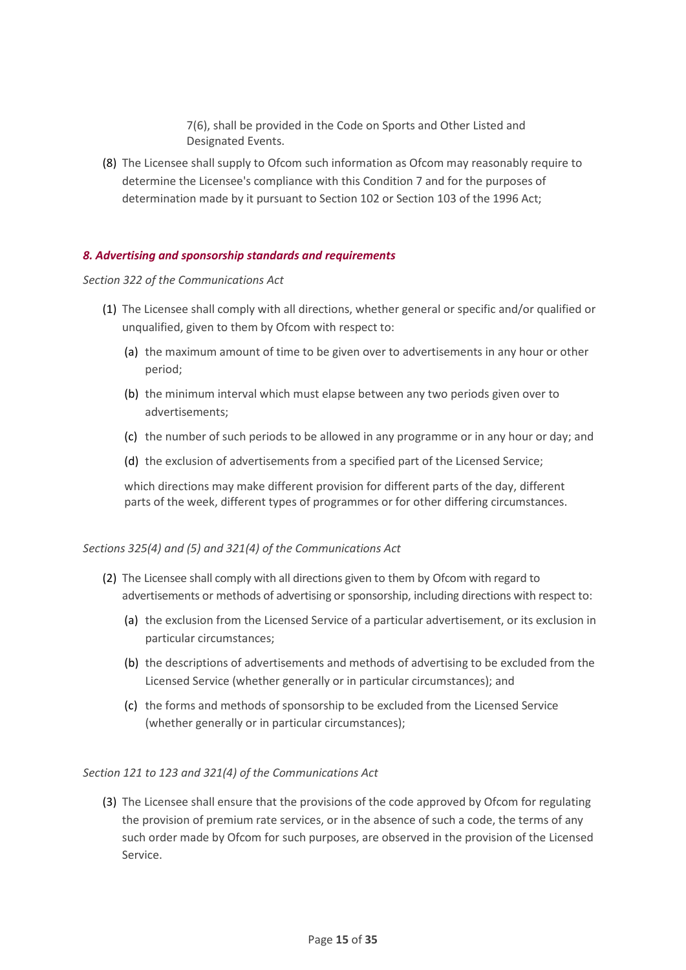7(6), shall be provided in the Code on Sports and Other Listed and Designated Events.

(8) The Licensee shall supply to Ofcom such information as Ofcom may reasonably require to determine the Licensee's compliance with this Condition 7 and for the purposes of determination made by it pursuant to Section 102 or Section 103 of the 1996 Act;

## <span id="page-14-0"></span>*8. Advertising and sponsorship standards and requirements*

#### *Section 322 of the Communications Act*

- (1) The Licensee shall comply with all directions, whether general or specific and/or qualified or unqualified, given to them by Ofcom with respect to:
	- (a) the maximum amount of time to be given over to advertisements in any hour or other period;
	- (b) the minimum interval which must elapse between any two periods given over to advertisements;
	- (c) the number of such periods to be allowed in any programme or in any hour or day; and
	- (d) the exclusion of advertisements from a specified part of the Licensed Service;

which directions may make different provision for different parts of the day, different parts of the week, different types of programmes or for other differing circumstances.

## *Sections 325(4) and (5) and 321(4) of the Communications Act*

- (2) The Licensee shall comply with all directions given to them by Ofcom with regard to advertisements or methods of advertising or sponsorship, including directions with respect to:
	- (a) the exclusion from the Licensed Service of a particular advertisement, or its exclusion in particular circumstances;
	- (b) the descriptions of advertisements and methods of advertising to be excluded from the Licensed Service (whether generally or in particular circumstances); and
	- (c) the forms and methods of sponsorship to be excluded from the Licensed Service (whether generally or in particular circumstances);

## *Section 121 to 123 and 321(4) of the Communications Act*

(3) The Licensee shall ensure that the provisions of the code approved by Ofcom for regulating the provision of premium rate services, or in the absence of such a code, the terms of any such order made by Ofcom for such purposes, are observed in the provision of the Licensed Service.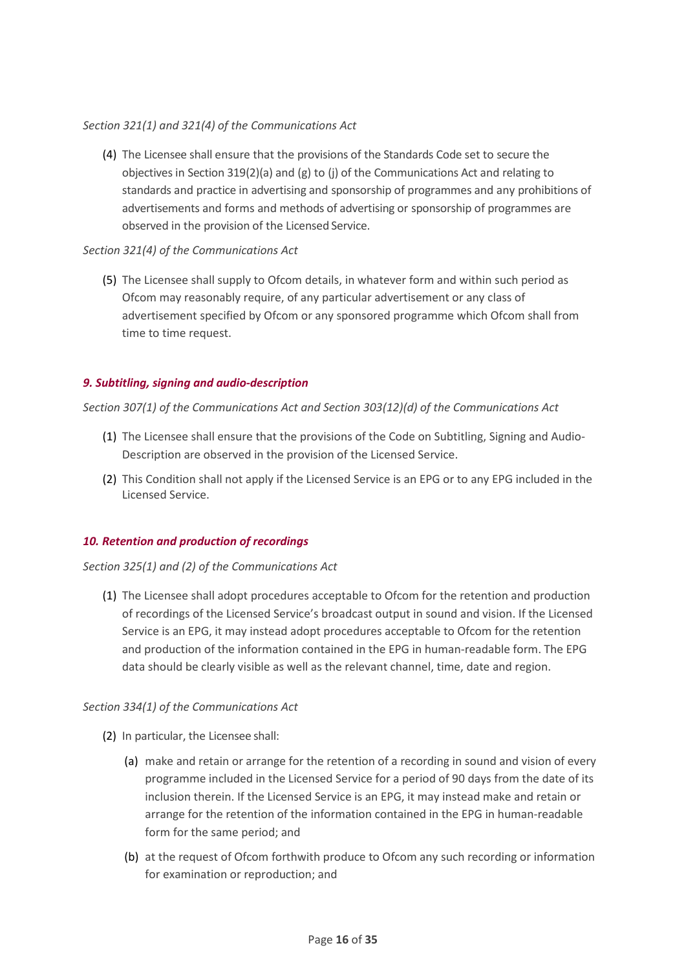## *Section 321(1) and 321(4) of the Communications Act*

(4) The Licensee shall ensure that the provisions of the Standards Code set to secure the objectives in Section 319(2)(a) and (g) to (j) of the Communications Act and relating to standards and practice in advertising and sponsorship of programmes and any prohibitions of advertisements and forms and methods of advertising or sponsorship of programmes are observed in the provision of the Licensed Service.

## *Section 321(4) of the Communications Act*

(5) The Licensee shall supply to Ofcom details, in whatever form and within such period as Ofcom may reasonably require, of any particular advertisement or any class of advertisement specified by Ofcom or any sponsored programme which Ofcom shall from time to time request.

## <span id="page-15-0"></span>*9. Subtitling, signing and audio-description*

*Section 307(1) of the Communications Act and Section 303(12)(d) of the Communications Act*

- (1) The Licensee shall ensure that the provisions of the Code on Subtitling, Signing and Audio-Description are observed in the provision of the Licensed Service.
- (2) This Condition shall not apply if the Licensed Service is an EPG or to any EPG included in the Licensed Service.

## <span id="page-15-1"></span>*10. Retention and production of recordings*

## *Section 325(1) and (2) of the Communications Act*

(1) The Licensee shall adopt procedures acceptable to Ofcom for the retention and production of recordings of the Licensed Service's broadcast output in sound and vision. If the Licensed Service is an EPG, it may instead adopt procedures acceptable to Ofcom for the retention and production of the information contained in the EPG in human-readable form. The EPG data should be clearly visible as well as the relevant channel, time, date and region.

## *Section 334(1) of the Communications Act*

- (2) In particular, the Licensee shall:
	- (a) make and retain or arrange for the retention of a recording in sound and vision of every programme included in the Licensed Service for a period of 90 days from the date of its inclusion therein. If the Licensed Service is an EPG, it may instead make and retain or arrange for the retention of the information contained in the EPG in human-readable form for the same period; and
	- (b) at the request of Ofcom forthwith produce to Ofcom any such recording or information for examination or reproduction; and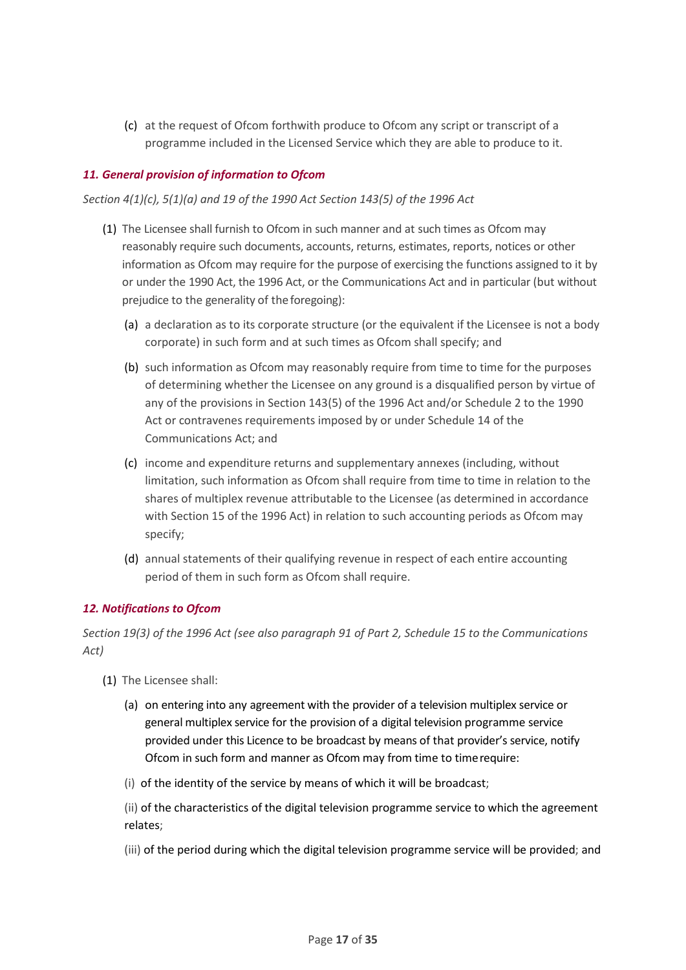(c) at the request of Ofcom forthwith produce to Ofcom any script or transcript of a programme included in the Licensed Service which they are able to produce to it.

## <span id="page-16-0"></span>*11. General provision of information to Ofcom*

*Section 4(1)(c), 5(1)(a) and 19 of the 1990 Act Section 143(5) of the 1996 Act* 

- (1) The Licensee shall furnish to Ofcom in such manner and at such times as Ofcom may reasonably require such documents, accounts, returns, estimates, reports, notices or other information as Ofcom may require for the purpose of exercising the functions assigned to it by or under the 1990 Act, the 1996 Act, or the Communications Act and in particular (but without prejudice to the generality of the foregoing):
	- (a) a declaration as to its corporate structure (or the equivalent if the Licensee is not a body corporate) in such form and at such times as Ofcom shall specify; and
	- (b) such information as Ofcom may reasonably require from time to time for the purposes of determining whether the Licensee on any ground is a disqualified person by virtue of any of the provisions in Section 143(5) of the 1996 Act and/or Schedule 2 to the 1990 Act or contravenes requirements imposed by or under Schedule 14 of the Communications Act; and
	- (c) income and expenditure returns and supplementary annexes (including, without limitation, such information as Ofcom shall require from time to time in relation to the shares of multiplex revenue attributable to the Licensee (as determined in accordance with Section 15 of the 1996 Act) in relation to such accounting periods as Ofcom may specify;
	- (d) annual statements of their qualifying revenue in respect of each entire accounting period of them in such form as Ofcom shall require.

## <span id="page-16-1"></span>*12. Notifications to Ofcom*

*Section 19(3) of the 1996 Act (see also paragraph 91 of Part 2, Schedule 15 to the Communications Act)*

- (1) The Licensee shall:
	- (a) on entering into any agreement with the provider of a television multiplex service or general multiplex service for the provision of a digital television programme service provided under this Licence to be broadcast by means of that provider's service, notify Ofcom in such form and manner as Ofcom may from time to timerequire:
	- (i) of the identity of the service by means of which it will be broadcast;

(ii) of the characteristics of the digital television programme service to which the agreement relates;

(iii) of the period during which the digital television programme service will be provided; and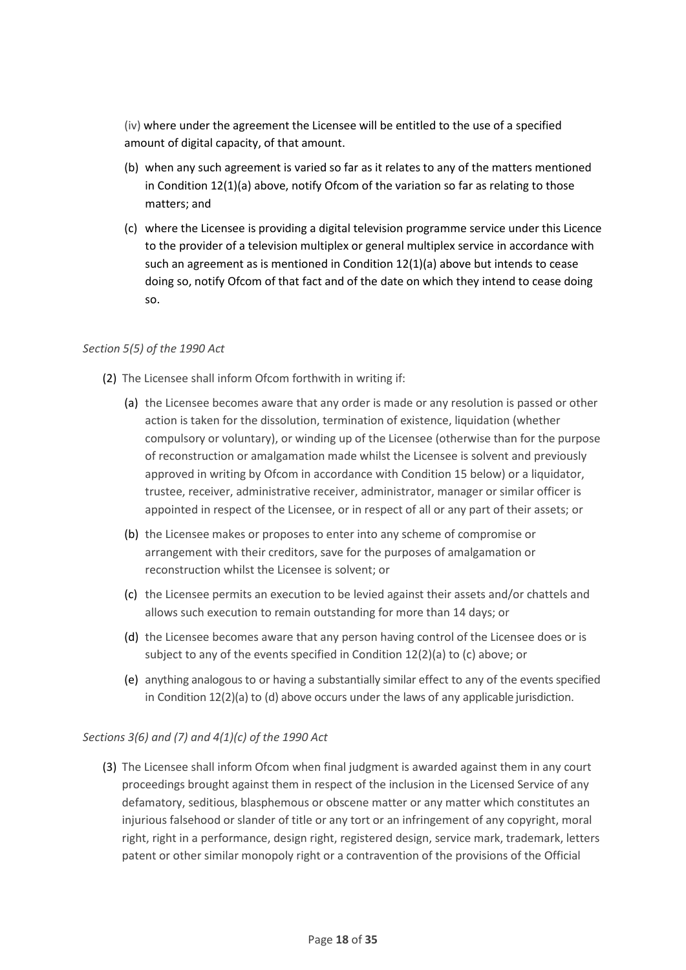(iv) where under the agreement the Licensee will be entitled to the use of a specified amount of digital capacity, of that amount.

- (b) when any such agreement is varied so far as it relates to any of the matters mentioned in Condition 12(1)(a) above, notify Ofcom of the variation so far as relating to those matters; and
- (c) where the Licensee is providing a digital television programme service under this Licence to the provider of a television multiplex or general multiplex service in accordance with such an agreement as is mentioned in Condition 12(1)(a) above but intends to cease doing so, notify Ofcom of that fact and of the date on which they intend to cease doing so.

## *Section 5(5) of the 1990 Act*

- (2) The Licensee shall inform Ofcom forthwith in writing if:
	- (a) the Licensee becomes aware that any order is made or any resolution is passed or other action is taken for the dissolution, termination of existence, liquidation (whether compulsory or voluntary), or winding up of the Licensee (otherwise than for the purpose of reconstruction or amalgamation made whilst the Licensee is solvent and previously approved in writing by Ofcom in accordance with Condition 15 below) or a liquidator, trustee, receiver, administrative receiver, administrator, manager or similar officer is appointed in respect of the Licensee, or in respect of all or any part of their assets; or
	- (b) the Licensee makes or proposes to enter into any scheme of compromise or arrangement with their creditors, save for the purposes of amalgamation or reconstruction whilst the Licensee is solvent; or
	- (c) the Licensee permits an execution to be levied against their assets and/or chattels and allows such execution to remain outstanding for more than 14 days; or
	- (d) the Licensee becomes aware that any person having control of the Licensee does or is subject to any of the events specified in Condition 12(2)(a) to (c) above; or
	- (e) anything analogous to or having a substantially similar effect to any of the events specified in Condition 12(2)(a) to (d) above occurs under the laws of any applicable jurisdiction.

## *Sections 3(6) and (7) and 4(1)(c) of the 1990 Act*

(3) The Licensee shall inform Ofcom when final judgment is awarded against them in any court proceedings brought against them in respect of the inclusion in the Licensed Service of any defamatory, seditious, blasphemous or obscene matter or any matter which constitutes an injurious falsehood or slander of title or any tort or an infringement of any copyright, moral right, right in a performance, design right, registered design, service mark, trademark, letters patent or other similar monopoly right or a contravention of the provisions of the Official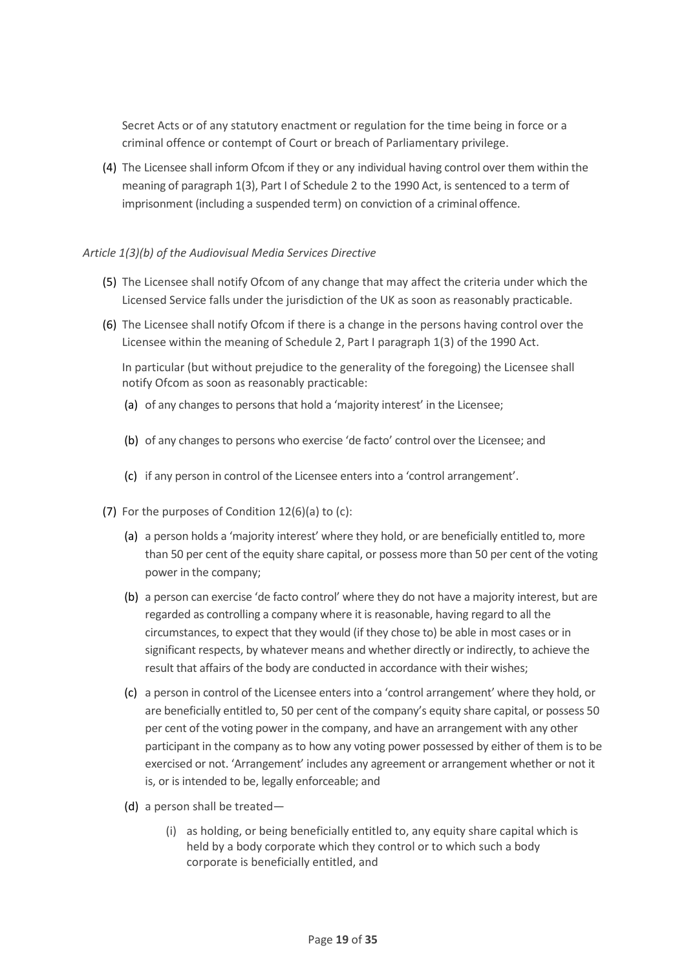Secret Acts or of any statutory enactment or regulation for the time being in force or a criminal offence or contempt of Court or breach of Parliamentary privilege.

(4) The Licensee shall inform Ofcom if they or any individual having control over them within the meaning of paragraph 1(3), Part I of Schedule 2 to the 1990 Act, is sentenced to a term of imprisonment (including a suspended term) on conviction of a criminal offence.

## *Article 1(3)(b) of the Audiovisual Media Services Directive*

- (5) The Licensee shall notify Ofcom of any change that may affect the criteria under which the Licensed Service falls under the jurisdiction of the UK as soon as reasonably practicable.
- (6) The Licensee shall notify Ofcom if there is a change in the persons having control over the Licensee within the meaning of Schedule 2, Part I paragraph 1(3) of the 1990 Act.

In particular (but without prejudice to the generality of the foregoing) the Licensee shall notify Ofcom as soon as reasonably practicable:

- (a) of any changes to persons that hold a 'majority interest' in the Licensee;
- (b) of any changes to persons who exercise 'de facto' control over the Licensee; and
- (c) if any person in control of the Licensee enters into a 'control arrangement'.
- (7) For the purposes of Condition 12(6)(a) to (c):
	- (a) a person holds a 'majority interest' where they hold, or are beneficially entitled to, more than 50 per cent of the equity share capital, or possess more than 50 per cent of the voting power in the company;
	- (b) a person can exercise 'de facto control' where they do not have a majority interest, but are regarded as controlling a company where it is reasonable, having regard to all the circumstances, to expect that they would (if they chose to) be able in most cases or in significant respects, by whatever means and whether directly or indirectly, to achieve the result that affairs of the body are conducted in accordance with their wishes;
	- (c) a person in control of the Licensee enters into a 'control arrangement' where they hold, or are beneficially entitled to, 50 per cent of the company's equity share capital, or possess 50 per cent of the voting power in the company, and have an arrangement with any other participant in the company as to how any voting power possessed by either of them is to be exercised or not. 'Arrangement' includes any agreement or arrangement whether or not it is, or is intended to be, legally enforceable; and
	- (d) a person shall be treated—
		- (i) as holding, or being beneficially entitled to, any equity share capital which is held by a body corporate which they control or to which such a body corporate is beneficially entitled, and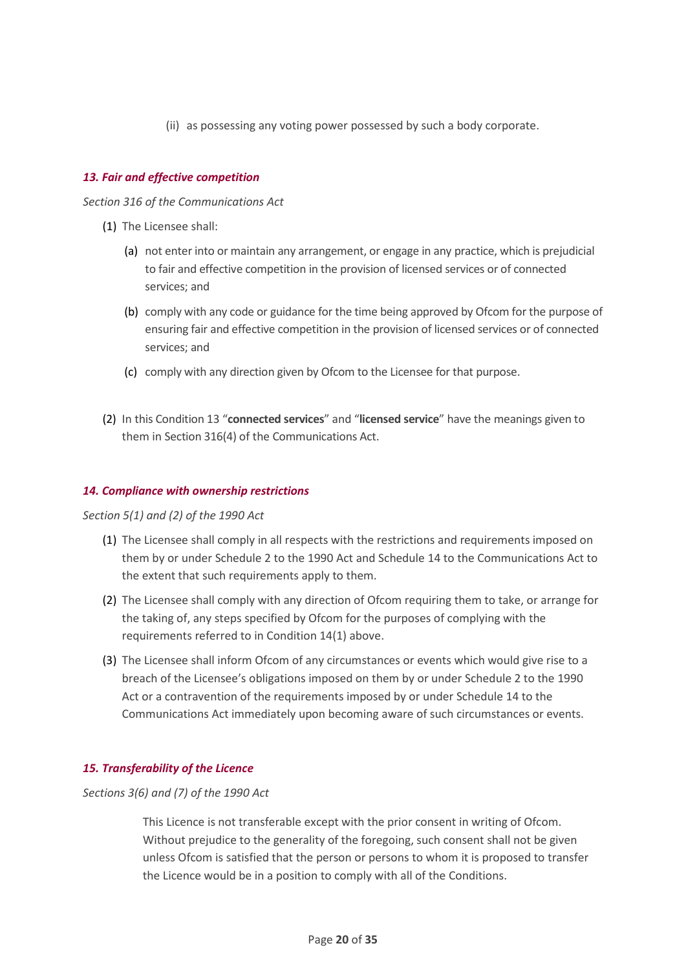(ii) as possessing any voting power possessed by such a body corporate.

## <span id="page-19-0"></span>*13. Fair and effective competition*

*Section 316 of the Communications Act*

- (1) The Licensee shall:
	- (a) not enter into or maintain any arrangement, or engage in any practice, which is prejudicial to fair and effective competition in the provision of licensed services or of connected services; and
	- (b) comply with any code or guidance for the time being approved by Ofcom for the purpose of ensuring fair and effective competition in the provision of licensed services or of connected services; and
	- (c) comply with any direction given by Ofcom to the Licensee for that purpose.
- (2) In this Condition 13 "**connected services**" and "**licensed service**" have the meanings given to them in Section 316(4) of the Communications Act.

## <span id="page-19-1"></span>*14. Compliance with ownership restrictions*

*Section 5(1) and (2) of the 1990 Act*

- (1) The Licensee shall comply in all respects with the restrictions and requirements imposed on them by or under Schedule 2 to the 1990 Act and Schedule 14 to the Communications Act to the extent that such requirements apply to them.
- (2) The Licensee shall comply with any direction of Ofcom requiring them to take, or arrange for the taking of, any steps specified by Ofcom for the purposes of complying with the requirements referred to in Condition 14(1) above.
- (3) The Licensee shall inform Ofcom of any circumstances or events which would give rise to a breach of the Licensee's obligations imposed on them by or under Schedule 2 to the 1990 Act or a contravention of the requirements imposed by or under Schedule 14 to the Communications Act immediately upon becoming aware of such circumstances or events.

## <span id="page-19-2"></span>*15. Transferability of the Licence*

*Sections 3(6) and (7) of the 1990 Act*

This Licence is not transferable except with the prior consent in writing of Ofcom. Without prejudice to the generality of the foregoing, such consent shall not be given unless Ofcom is satisfied that the person or persons to whom it is proposed to transfer the Licence would be in a position to comply with all of the Conditions.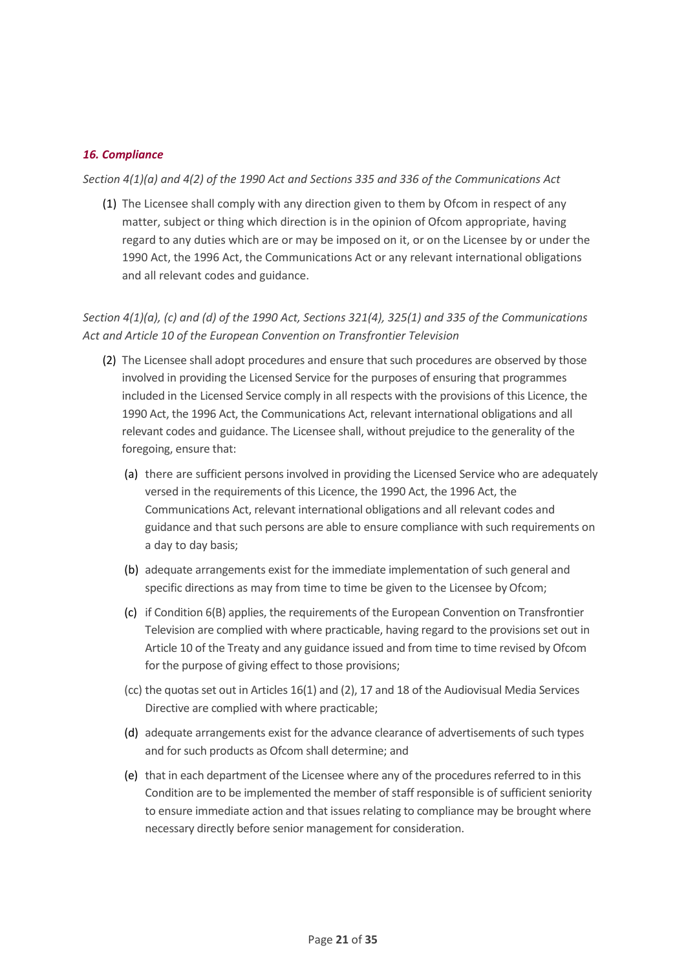## <span id="page-20-0"></span>*16. Compliance*

*Section 4(1)(a) and 4(2) of the 1990 Act and Sections 335 and 336 of the Communications Act*

(1) The Licensee shall comply with any direction given to them by Ofcom in respect of any matter, subject or thing which direction is in the opinion of Ofcom appropriate, having regard to any duties which are or may be imposed on it, or on the Licensee by or under the 1990 Act, the 1996 Act, the Communications Act or any relevant international obligations and all relevant codes and guidance.

*Section 4(1)(a), (c) and (d) of the 1990 Act, Sections 321(4), 325(1) and 335 of the Communications Act and Article 10 of the European Convention on Transfrontier Television* 

- (2) The Licensee shall adopt procedures and ensure that such procedures are observed by those involved in providing the Licensed Service for the purposes of ensuring that programmes included in the Licensed Service comply in all respects with the provisions of this Licence, the 1990 Act, the 1996 Act, the Communications Act, relevant international obligations and all relevant codes and guidance. The Licensee shall, without prejudice to the generality of the foregoing, ensure that:
	- (a) there are sufficient persons involved in providing the Licensed Service who are adequately versed in the requirements of this Licence, the 1990 Act, the 1996 Act, the Communications Act, relevant international obligations and all relevant codes and guidance and that such persons are able to ensure compliance with such requirements on a day to day basis;
	- (b) adequate arrangements exist for the immediate implementation of such general and specific directions as may from time to time be given to the Licensee by Ofcom;
	- (c) if Condition 6(B) applies, the requirements of the European Convention on Transfrontier Television are complied with where practicable, having regard to the provisions set out in Article 10 of the Treaty and any guidance issued and from time to time revised by Ofcom for the purpose of giving effect to those provisions;
	- (cc) the quotas set out in Articles 16(1) and (2), 17 and 18 of the Audiovisual Media Services Directive are complied with where practicable;
	- (d) adequate arrangements exist for the advance clearance of advertisements of such types and for such products as Ofcom shall determine; and
	- (e) that in each department of the Licensee where any of the procedures referred to in this Condition are to be implemented the member of staff responsible is of sufficient seniority to ensure immediate action and that issues relating to compliance may be brought where necessary directly before senior management for consideration.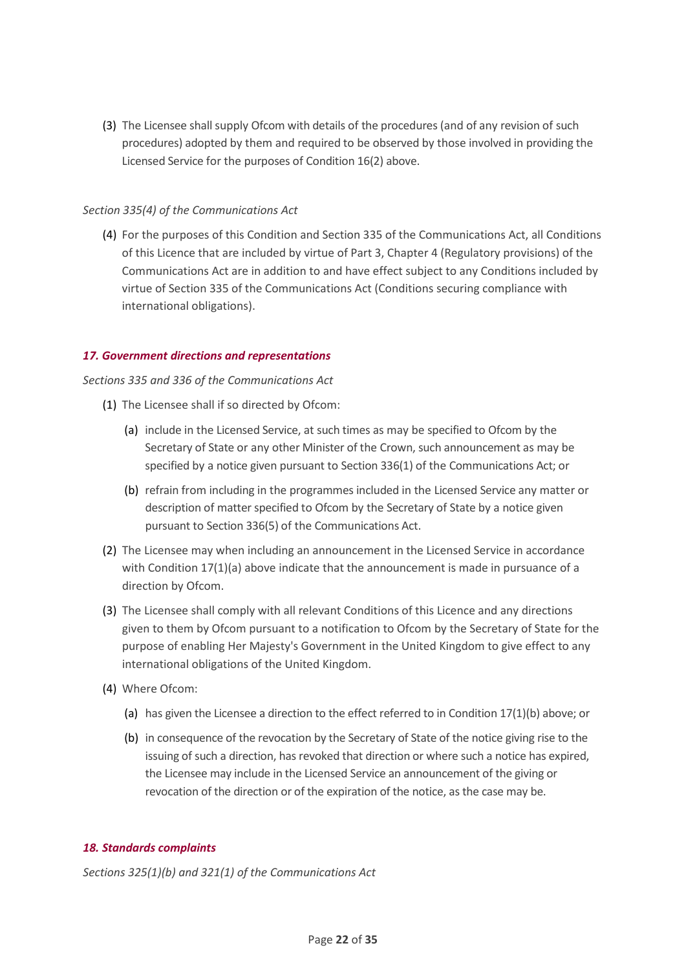(3) The Licensee shall supply Ofcom with details of the procedures (and of any revision of such procedures) adopted by them and required to be observed by those involved in providing the Licensed Service for the purposes of Condition 16(2) above.

## *Section 335(4) of the Communications Act*

(4) For the purposes of this Condition and Section 335 of the Communications Act, all Conditions of this Licence that are included by virtue of Part 3, Chapter 4 (Regulatory provisions) of the Communications Act are in addition to and have effect subject to any Conditions included by virtue of Section 335 of the Communications Act (Conditions securing compliance with international obligations).

## <span id="page-21-0"></span>*17. Government directions and representations*

## *Sections 335 and 336 of the Communications Act*

- (1) The Licensee shall if so directed by Ofcom:
	- (a) include in the Licensed Service, at such times as may be specified to Ofcom by the Secretary of State or any other Minister of the Crown, such announcement as may be specified by a notice given pursuant to Section 336(1) of the Communications Act; or
	- (b) refrain from including in the programmes included in the Licensed Service any matter or description of matter specified to Ofcom by the Secretary of State by a notice given pursuant to Section 336(5) of the Communications Act.
- (2) The Licensee may when including an announcement in the Licensed Service in accordance with Condition  $17(1)(a)$  above indicate that the announcement is made in pursuance of a direction by Ofcom.
- (3) The Licensee shall comply with all relevant Conditions of this Licence and any directions given to them by Ofcom pursuant to a notification to Ofcom by the Secretary of State for the purpose of enabling Her Majesty's Government in the United Kingdom to give effect to any international obligations of the United Kingdom.
- (4) Where Ofcom:
	- (a) has given the Licensee a direction to the effect referred to in Condition 17(1)(b) above; or
	- (b) in consequence of the revocation by the Secretary of State of the notice giving rise to the issuing of such a direction, has revoked that direction or where such a notice has expired, the Licensee may include in the Licensed Service an announcement of the giving or revocation of the direction or of the expiration of the notice, as the case may be.

## <span id="page-21-1"></span>*18. Standards complaints*

*Sections 325(1)(b) and 321(1) of the Communications Act*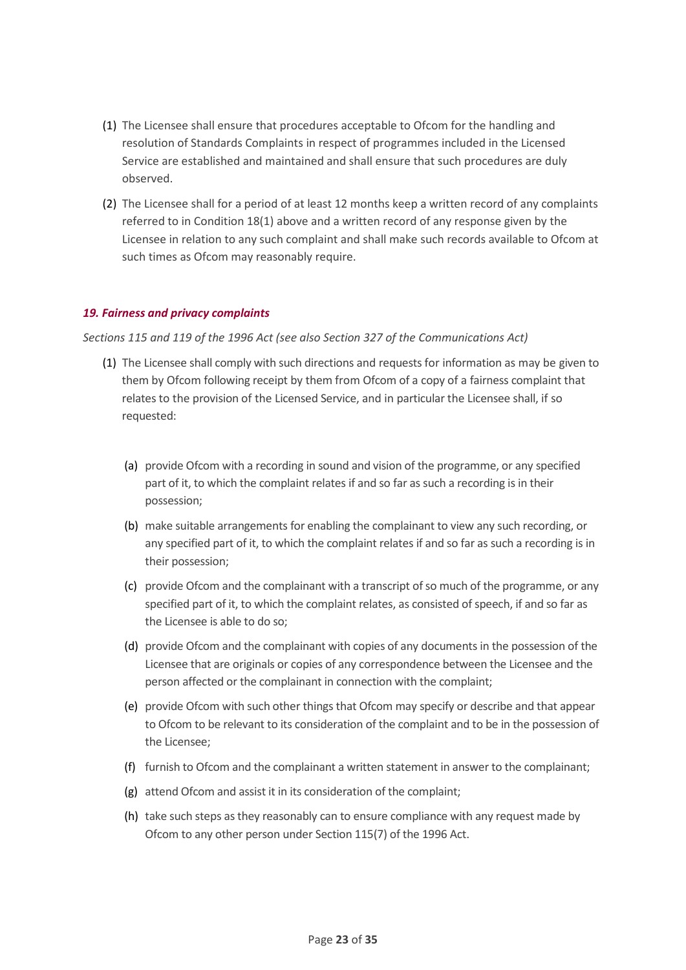- (1) The Licensee shall ensure that procedures acceptable to Ofcom for the handling and resolution of Standards Complaints in respect of programmes included in the Licensed Service are established and maintained and shall ensure that such procedures are duly observed.
- (2) The Licensee shall for a period of at least 12 months keep a written record of any complaints referred to in Condition 18(1) above and a written record of any response given by the Licensee in relation to any such complaint and shall make such records available to Ofcom at such times as Ofcom may reasonably require.

## <span id="page-22-0"></span>*19. Fairness and privacy complaints*

#### *Sections 115 and 119 of the 1996 Act (see also Section 327 of the Communications Act)*

- (1) The Licensee shall comply with such directions and requests for information as may be given to them by Ofcom following receipt by them from Ofcom of a copy of a fairness complaint that relates to the provision of the Licensed Service, and in particular the Licensee shall, if so requested:
	- (a) provide Ofcom with a recording in sound and vision of the programme, or any specified part of it, to which the complaint relates if and so far as such a recording is in their possession;
	- (b) make suitable arrangements for enabling the complainant to view any such recording, or any specified part of it, to which the complaint relates if and so far as such a recording is in their possession;
	- (c) provide Ofcom and the complainant with a transcript of so much of the programme, or any specified part of it, to which the complaint relates, as consisted of speech, if and so far as the Licensee is able to do so;
	- (d) provide Ofcom and the complainant with copies of any documents in the possession of the Licensee that are originals or copies of any correspondence between the Licensee and the person affected or the complainant in connection with the complaint;
	- (e) provide Ofcom with such other things that Ofcom may specify or describe and that appear to Ofcom to be relevant to its consideration of the complaint and to be in the possession of the Licensee;
	- (f) furnish to Ofcom and the complainant a written statement in answer to the complainant;
	- (g) attend Ofcom and assist it in its consideration of the complaint;
	- (h) take such steps as they reasonably can to ensure compliance with any request made by Ofcom to any other person under Section 115(7) of the 1996 Act.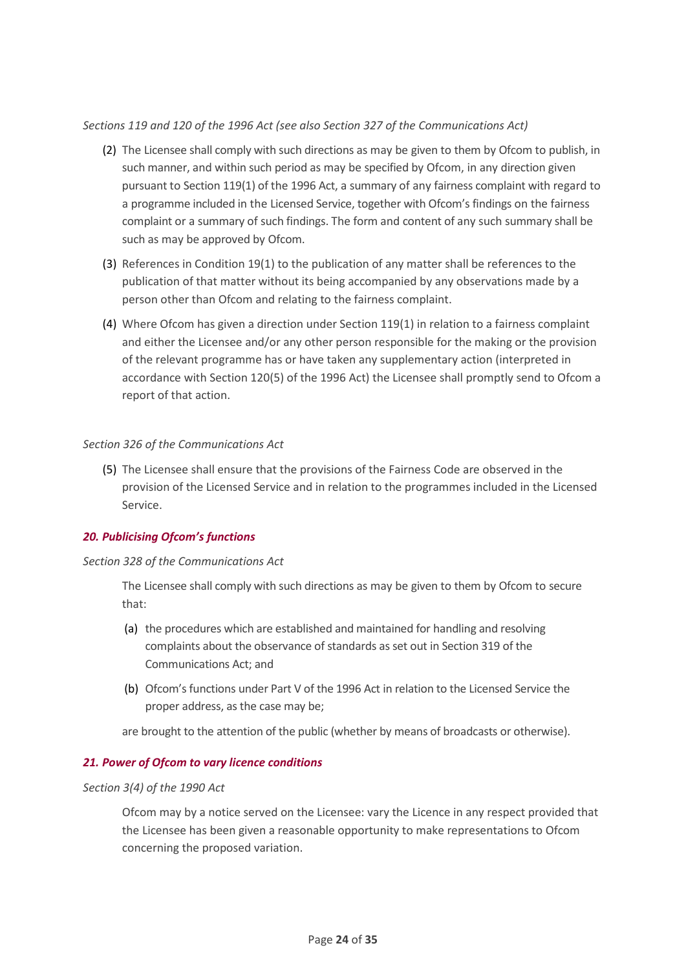## *Sections 119 and 120 of the 1996 Act (see also Section 327 of the Communications Act)*

- (2) The Licensee shall comply with such directions as may be given to them by Ofcom to publish, in such manner, and within such period as may be specified by Ofcom, in any direction given pursuant to Section 119(1) of the 1996 Act, a summary of any fairness complaint with regard to a programme included in the Licensed Service, together with Ofcom's findings on the fairness complaint or a summary of such findings. The form and content of any such summary shall be such as may be approved by Ofcom.
- (3) References in Condition 19(1) to the publication of any matter shall be references to the publication of that matter without its being accompanied by any observations made by a person other than Ofcom and relating to the fairness complaint.
- (4) Where Ofcom has given a direction under Section 119(1) in relation to a fairness complaint and either the Licensee and/or any other person responsible for the making or the provision of the relevant programme has or have taken any supplementary action (interpreted in accordance with Section 120(5) of the 1996 Act) the Licensee shall promptly send to Ofcom a report of that action.

## *Section 326 of the Communications Act*

(5) The Licensee shall ensure that the provisions of the Fairness Code are observed in the provision of the Licensed Service and in relation to the programmes included in the Licensed Service.

## <span id="page-23-0"></span>*20. Publicising Ofcom's functions*

## *Section 328 of the Communications Act*

The Licensee shall comply with such directions as may be given to them by Ofcom to secure that:

- (a) the procedures which are established and maintained for handling and resolving complaints about the observance of standards as set out in Section 319 of the Communications Act; and
- (b) Ofcom's functions under Part V of the 1996 Act in relation to the Licensed Service the proper address, as the case may be;

are brought to the attention of the public (whether by means of broadcasts or otherwise).

## <span id="page-23-1"></span>*21. Power of Ofcom to vary licence conditions*

#### *Section 3(4) of the 1990 Act*

Ofcom may by a notice served on the Licensee: vary the Licence in any respect provided that the Licensee has been given a reasonable opportunity to make representations to Ofcom concerning the proposed variation.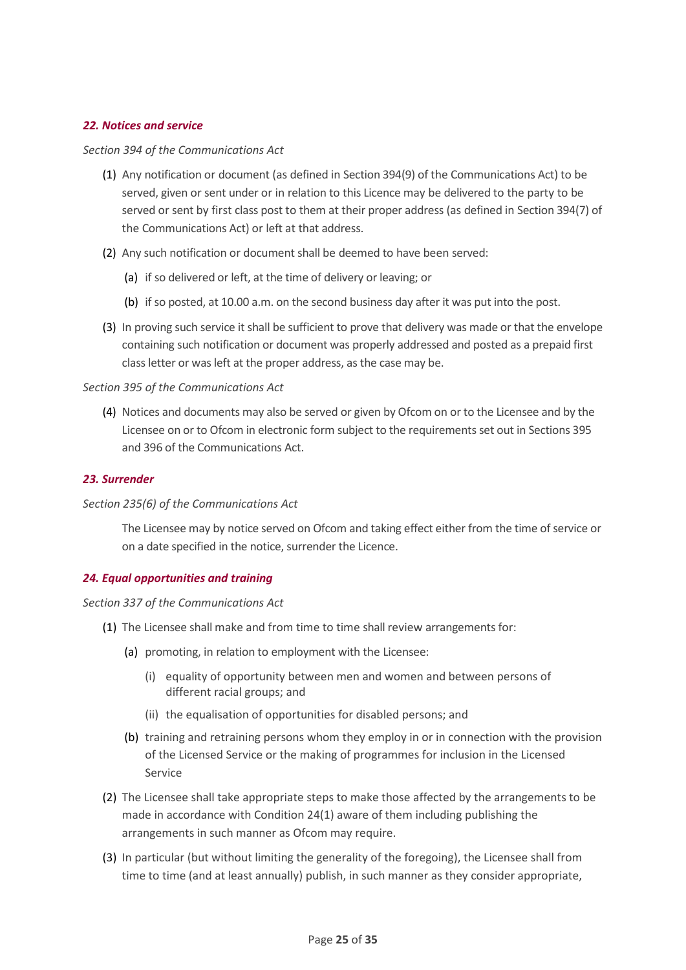## <span id="page-24-0"></span>*22. Notices and service*

#### *Section 394 of the Communications Act*

- (1) Any notification or document (as defined in Section 394(9) of the Communications Act) to be served, given or sent under or in relation to this Licence may be delivered to the party to be served or sent by first class post to them at their proper address (as defined in Section 394(7) of the Communications Act) or left at that address.
- (2) Any such notification or document shall be deemed to have been served:
	- (a) if so delivered or left, at the time of delivery or leaving; or
	- (b) if so posted, at 10.00 a.m. on the second business day after it was put into the post.
- (3) In proving such service it shall be sufficient to prove that delivery was made or that the envelope containing such notification or document was properly addressed and posted as a prepaid first class letter or was left at the proper address, as the case may be.

#### *Section 395 of the Communications Act*

(4) Notices and documents may also be served or given by Ofcom on or to the Licensee and by the Licensee on or to Ofcom in electronic form subject to the requirements set out in Sections 395 and 396 of the Communications Act.

#### <span id="page-24-1"></span>*23. Surrender*

#### *Section 235(6) of the Communications Act*

The Licensee may by notice served on Ofcom and taking effect either from the time of service or on a date specified in the notice, surrender the Licence.

## <span id="page-24-2"></span>*24. Equal opportunities and training*

#### *Section 337 of the Communications Act*

- (1) The Licensee shall make and from time to time shall review arrangements for:
	- (a) promoting, in relation to employment with the Licensee:
		- (i) equality of opportunity between men and women and between persons of different racial groups; and
		- (ii) the equalisation of opportunities for disabled persons; and
	- (b) training and retraining persons whom they employ in or in connection with the provision of the Licensed Service or the making of programmes for inclusion in the Licensed Service
- (2) The Licensee shall take appropriate steps to make those affected by the arrangements to be made in accordance with Condition 24(1) aware of them including publishing the arrangements in such manner as Ofcom may require.
- (3) In particular (but without limiting the generality of the foregoing), the Licensee shall from time to time (and at least annually) publish, in such manner as they consider appropriate,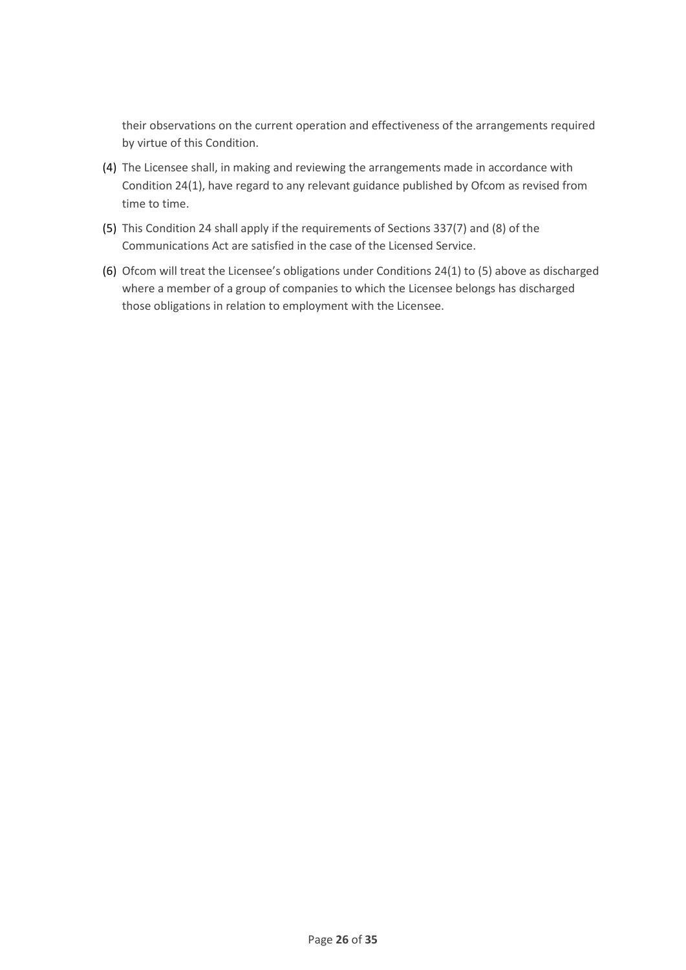their observations on the current operation and effectiveness of the arrangements required by virtue of this Condition.

- (4) The Licensee shall, in making and reviewing the arrangements made in accordance with Condition 24(1), have regard to any relevant guidance published by Ofcom as revised from time to time.
- (5) This Condition 24 shall apply if the requirements of Sections 337(7) and (8) of the Communications Act are satisfied in the case of the Licensed Service.
- (6) Ofcom will treat the Licensee's obligations under Conditions 24(1) to (5) above as discharged where a member of a group of companies to which the Licensee belongs has discharged those obligations in relation to employment with the Licensee.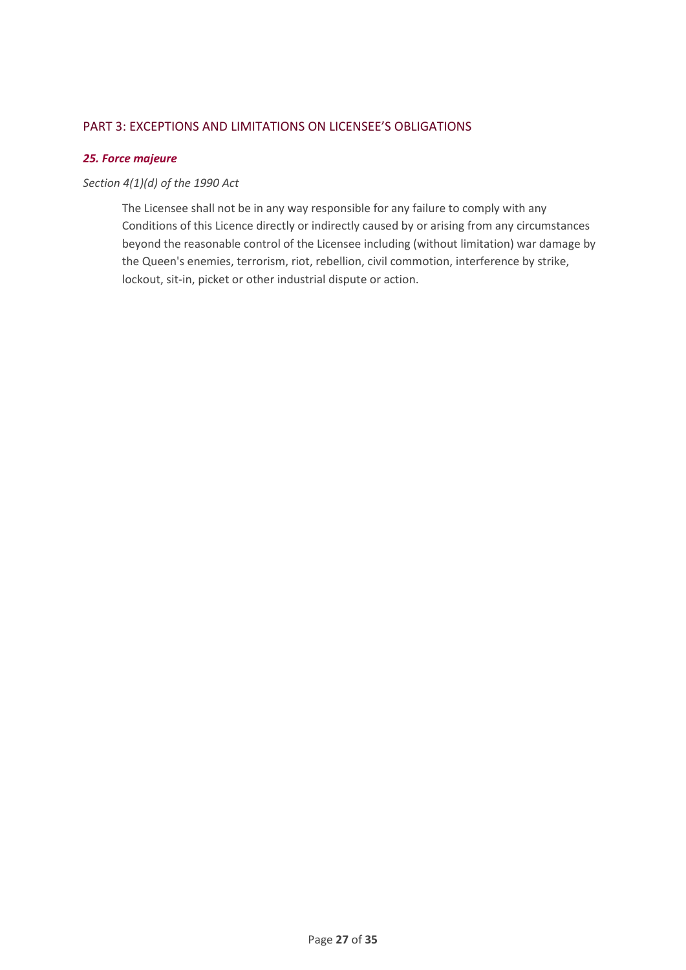## <span id="page-26-0"></span>PART 3: EXCEPTIONS AND LIMITATIONS ON LICENSEE'S OBLIGATIONS

## <span id="page-26-1"></span>*25. Force majeure*

## *Section 4(1)(d) of the 1990 Act*

The Licensee shall not be in any way responsible for any failure to comply with any Conditions of this Licence directly or indirectly caused by or arising from any circumstances beyond the reasonable control of the Licensee including (without limitation) war damage by the Queen's enemies, terrorism, riot, rebellion, civil commotion, interference by strike, lockout, sit-in, picket or other industrial dispute or action.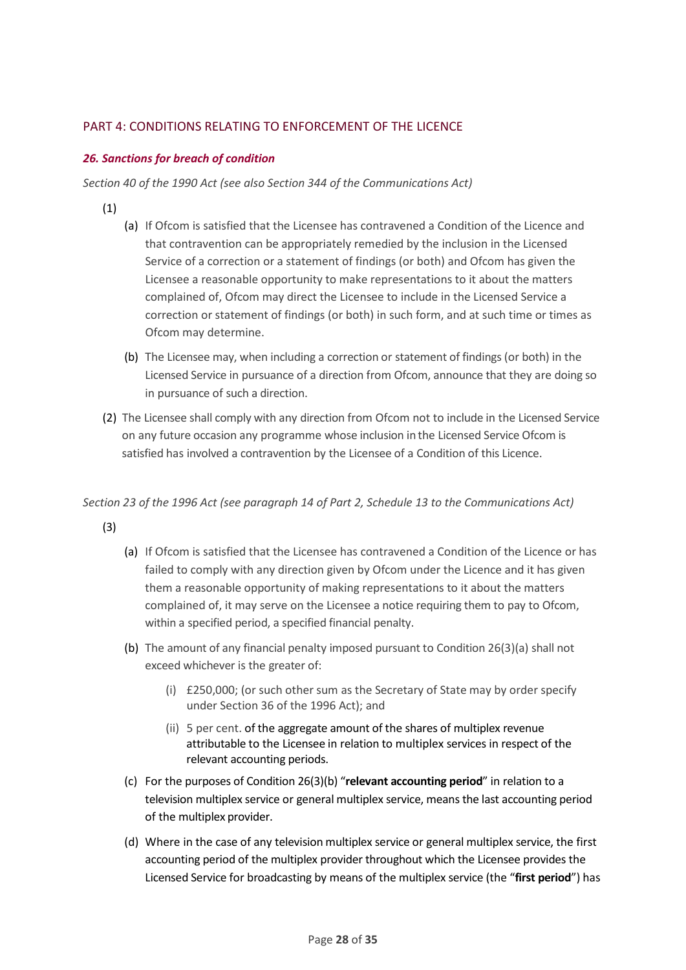## <span id="page-27-0"></span>PART 4: CONDITIONS RELATING TO ENFORCEMENT OF THE LICENCE

## <span id="page-27-1"></span>*26. Sanctions for breach of condition*

*Section 40 of the 1990 Act (see also Section 344 of the Communications Act)*

- (1)
- (a) If Ofcom is satisfied that the Licensee has contravened a Condition of the Licence and that contravention can be appropriately remedied by the inclusion in the Licensed Service of a correction or a statement of findings (or both) and Ofcom has given the Licensee a reasonable opportunity to make representations to it about the matters complained of, Ofcom may direct the Licensee to include in the Licensed Service a correction or statement of findings (or both) in such form, and at such time or times as Ofcom may determine.
- (b) The Licensee may, when including a correction or statement of findings (or both) in the Licensed Service in pursuance of a direction from Ofcom, announce that they are doing so in pursuance of such a direction.
- (2) The Licensee shall comply with any direction from Ofcom not to include in the Licensed Service on any future occasion any programme whose inclusion in the Licensed Service Ofcom is satisfied has involved a contravention by the Licensee of a Condition of this Licence.

*Section 23 of the 1996 Act (see paragraph 14 of Part 2, Schedule 13 to the Communications Act)*

(3)

- (a) If Ofcom is satisfied that the Licensee has contravened a Condition of the Licence or has failed to comply with any direction given by Ofcom under the Licence and it has given them a reasonable opportunity of making representations to it about the matters complained of, it may serve on the Licensee a notice requiring them to pay to Ofcom, within a specified period, a specified financial penalty.
- (b) The amount of any financial penalty imposed pursuant to Condition 26(3)(a) shall not exceed whichever is the greater of:
	- (i) £250,000; (or such other sum as the Secretary of State may by order specify under Section 36 of the 1996 Act); and
	- (ii) 5 per cent. of the aggregate amount of the shares of multiplex revenue attributable to the Licensee in relation to multiplex services in respect of the relevant accounting periods.
- (c) For the purposes of Condition 26(3)(b) "**relevant accounting period**" in relation to a television multiplex service or general multiplex service, means the last accounting period of the multiplex provider.
- (d) Where in the case of any television multiplex service or general multiplex service, the first accounting period of the multiplex provider throughout which the Licensee provides the Licensed Service for broadcasting by means of the multiplex service (the "**first period**") has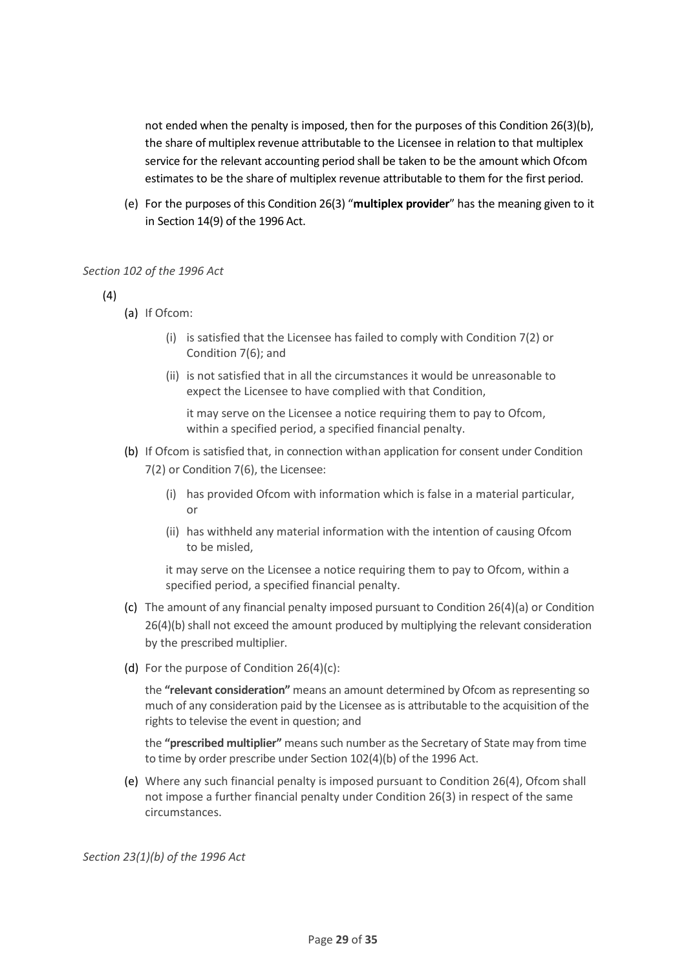not ended when the penalty is imposed, then for the purposes of this Condition 26(3)(b), the share of multiplex revenue attributable to the Licensee in relation to that multiplex service for the relevant accounting period shall be taken to be the amount which Ofcom estimates to be the share of multiplex revenue attributable to them for the first period.

(e) For the purposes of this Condition 26(3) "**multiplex provider**" has the meaning given to it in Section 14(9) of the 1996 Act.

## *Section 102 of the 1996 Act*

(4)

- (a) If Ofcom:
	- (i) is satisfied that the Licensee has failed to comply with Condition 7(2) or Condition 7(6); and
	- (ii) is not satisfied that in all the circumstances it would be unreasonable to expect the Licensee to have complied with that Condition,

it may serve on the Licensee a notice requiring them to pay to Ofcom, within a specified period, a specified financial penalty.

- (b) If Ofcom is satisfied that, in connection withan application for consent under Condition 7(2) or Condition 7(6), the Licensee:
	- (i) has provided Ofcom with information which is false in a material particular, or
	- (ii) has withheld any material information with the intention of causing Ofcom to be misled,

it may serve on the Licensee a notice requiring them to pay to Ofcom, within a specified period, a specified financial penalty.

- (c) The amount of any financial penalty imposed pursuant to Condition 26(4)(a) or Condition 26(4)(b) shall not exceed the amount produced by multiplying the relevant consideration by the prescribed multiplier.
- (d) For the purpose of Condition 26(4)(c):

the **"relevant consideration"** means an amount determined by Ofcom as representing so much of any consideration paid by the Licensee as is attributable to the acquisition of the rights to televise the event in question; and

the **"prescribed multiplier"** means such number as the Secretary of State may from time to time by order prescribe under Section 102(4)(b) of the 1996 Act.

(e) Where any such financial penalty is imposed pursuant to Condition 26(4), Ofcom shall not impose a further financial penalty under Condition 26(3) in respect of the same circumstances.

*Section 23(1)(b) of the 1996 Act*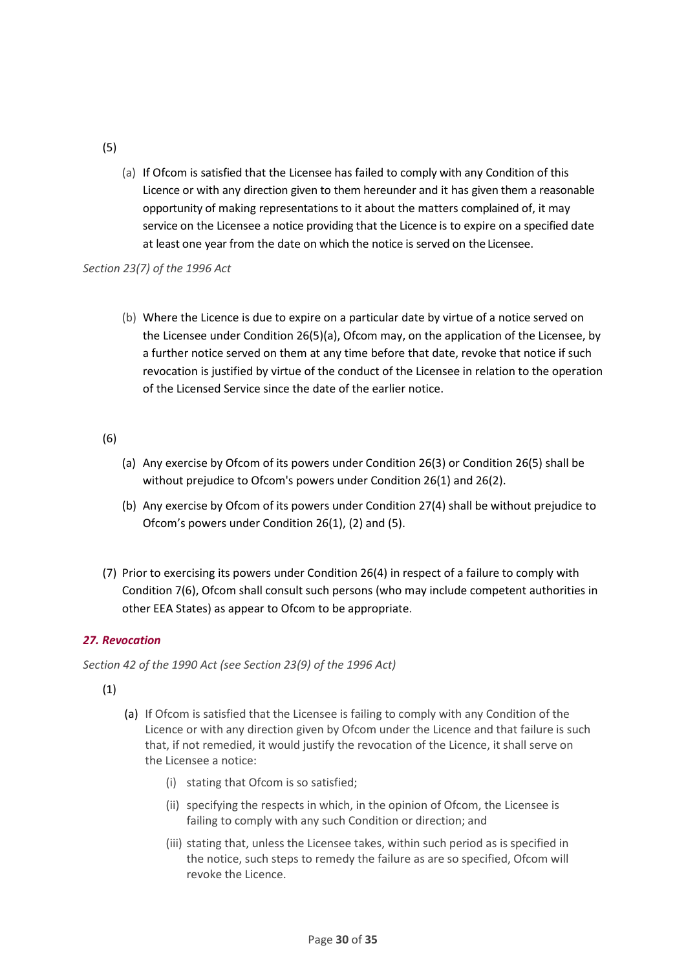## (5)

(a) If Ofcom is satisfied that the Licensee has failed to comply with any Condition of this Licence or with any direction given to them hereunder and it has given them a reasonable opportunity of making representations to it about the matters complained of, it may service on the Licensee a notice providing that the Licence is to expire on a specified date at least one year from the date on which the notice is served on the Licensee.

*Section 23(7) of the 1996 Act*

(b) Where the Licence is due to expire on a particular date by virtue of a notice served on the Licensee under Condition 26(5)(a), Ofcom may, on the application of the Licensee, by a further notice served on them at any time before that date, revoke that notice if such revocation is justified by virtue of the conduct of the Licensee in relation to the operation of the Licensed Service since the date of the earlier notice.

## (6)

- (a) Any exercise by Ofcom of its powers under Condition 26(3) or Condition 26(5) shall be without prejudice to Ofcom's powers under Condition 26(1) and 26(2).
- (b) Any exercise by Ofcom of its powers under Condition 27(4) shall be without prejudice to Ofcom's powers under Condition 26(1), (2) and (5).
- (7) Prior to exercising its powers under Condition 26(4) in respect of a failure to comply with Condition 7(6), Ofcom shall consult such persons (who may include competent authorities in other EEA States) as appear to Ofcom to be appropriate.

## <span id="page-29-0"></span>*27. Revocation*

*Section 42 of the 1990 Act (see Section 23(9) of the 1996 Act)*

(1)

- (a) If Ofcom is satisfied that the Licensee is failing to comply with any Condition of the Licence or with any direction given by Ofcom under the Licence and that failure is such that, if not remedied, it would justify the revocation of the Licence, it shall serve on the Licensee a notice:
	- (i) stating that Ofcom is so satisfied;
	- (ii) specifying the respects in which, in the opinion of Ofcom, the Licensee is failing to comply with any such Condition or direction; and
	- (iii) stating that, unless the Licensee takes, within such period as is specified in the notice, such steps to remedy the failure as are so specified, Ofcom will revoke the Licence.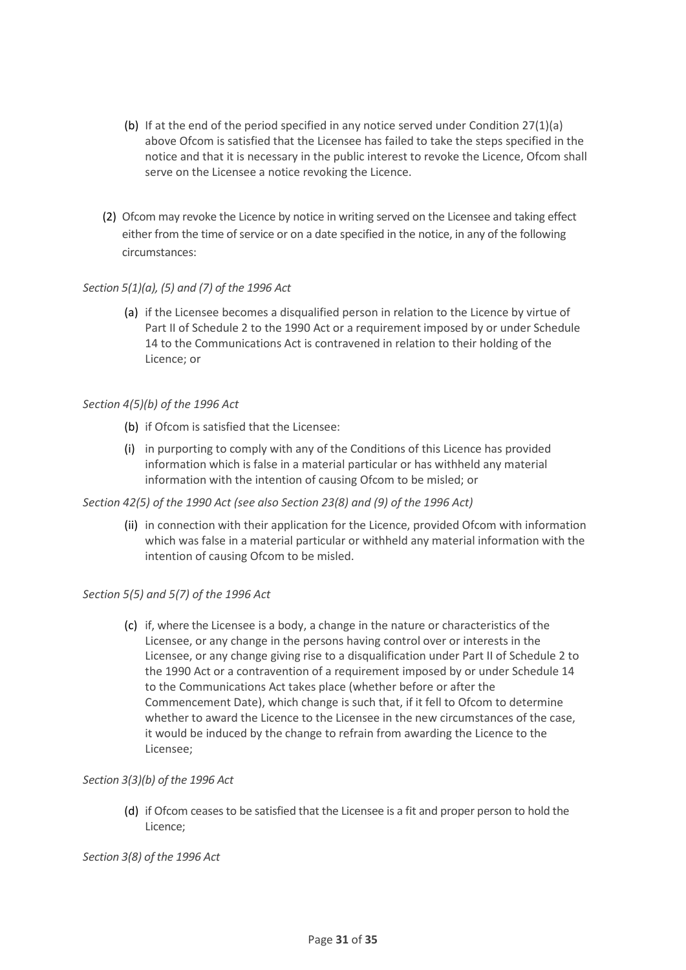- (b) If at the end of the period specified in any notice served under Condition 27(1)(a) above Ofcom is satisfied that the Licensee has failed to take the steps specified in the notice and that it is necessary in the public interest to revoke the Licence, Ofcom shall serve on the Licensee a notice revoking the Licence.
- (2) Ofcom may revoke the Licence by notice in writing served on the Licensee and taking effect either from the time of service or on a date specified in the notice, in any of the following circumstances:

## *Section 5(1)(a), (5) and (7) of the 1996 Act*

(a) if the Licensee becomes a disqualified person in relation to the Licence by virtue of Part II of Schedule 2 to the 1990 Act or a requirement imposed by or under Schedule 14 to the Communications Act is contravened in relation to their holding of the Licence; or

## *Section 4(5)(b) of the 1996 Act*

- (b) if Ofcom is satisfied that the Licensee:
- (i) in purporting to comply with any of the Conditions of this Licence has provided information which is false in a material particular or has withheld any material information with the intention of causing Ofcom to be misled; or

## *Section 42(5) of the 1990 Act (see also Section 23(8) and (9) of the 1996 Act)*

(ii) in connection with their application for the Licence, provided Ofcom with information which was false in a material particular or withheld any material information with the intention of causing Ofcom to be misled.

## *Section 5(5) and 5(7) of the 1996 Act*

(c) if, where the Licensee is a body, a change in the nature or characteristics of the Licensee, or any change in the persons having control over or interests in the Licensee, or any change giving rise to a disqualification under Part II of Schedule 2 to the 1990 Act or a contravention of a requirement imposed by or under Schedule 14 to the Communications Act takes place (whether before or after the Commencement Date), which change is such that, if it fell to Ofcom to determine whether to award the Licence to the Licensee in the new circumstances of the case, it would be induced by the change to refrain from awarding the Licence to the Licensee;

## *Section 3(3)(b) of the 1996 Act*

(d) if Ofcom ceases to be satisfied that the Licensee is a fit and proper person to hold the Licence;

*Section 3(8) of the 1996 Act*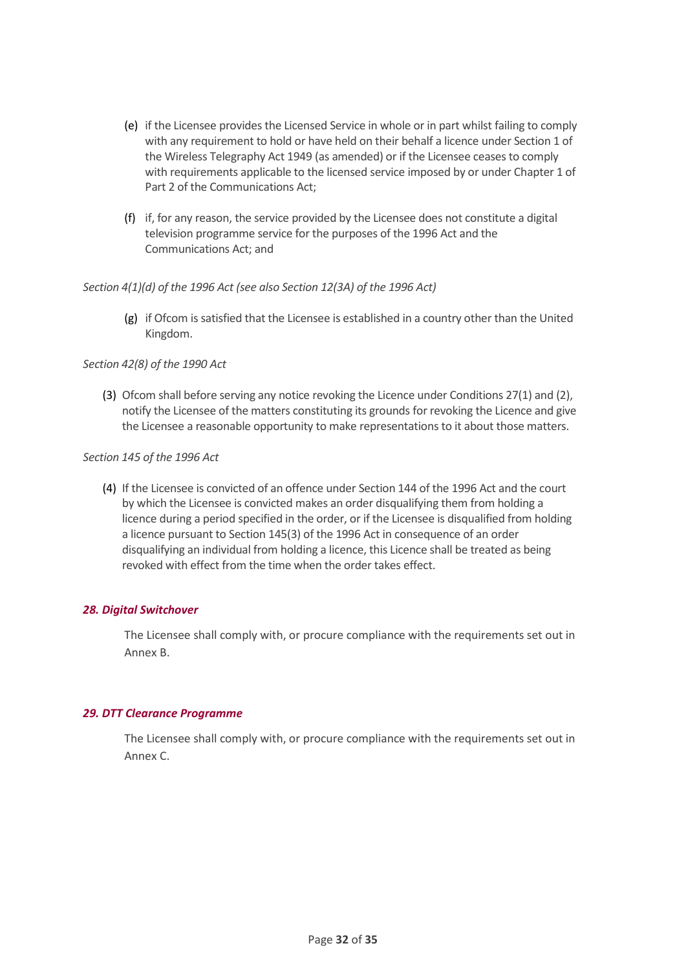- (e) if the Licensee provides the Licensed Service in whole or in part whilst failing to comply with any requirement to hold or have held on their behalf a licence under Section 1 of the Wireless Telegraphy Act 1949 (as amended) or if the Licensee ceases to comply with requirements applicable to the licensed service imposed by or under Chapter 1 of Part 2 of the Communications Act;
- (f) if, for any reason, the service provided by the Licensee does not constitute a digital television programme service for the purposes of the 1996 Act and the Communications Act; and

## *Section 4(1)(d) of the 1996 Act (see also Section 12(3A) of the 1996 Act)*

(g) if Ofcom is satisfied that the Licensee is established in a country other than the United Kingdom.

## *Section 42(8) of the 1990 Act*

(3) Ofcom shall before serving any notice revoking the Licence under Conditions 27(1) and (2), notify the Licensee of the matters constituting its grounds for revoking the Licence and give the Licensee a reasonable opportunity to make representationsto it about those matters.

## *Section 145 of the 1996 Act*

(4) If the Licensee is convicted of an offence under Section 144 of the 1996 Act and the court by which the Licensee is convicted makes an order disqualifying them from holding a licence during a period specified in the order, or if the Licensee is disqualified from holding a licence pursuant to Section 145(3) of the 1996 Act in consequence of an order disqualifying an individual from holding a licence, this Licence shall be treated as being revoked with effect from the time when the order takes effect.

## <span id="page-31-0"></span>*28. Digital Switchover*

The Licensee shall comply with, or procure compliance with the requirements set out in Annex B.

## <span id="page-31-1"></span>*29. DTT Clearance Programme*

The Licensee shall comply with, or procure compliance with the requirements set out in Annex C.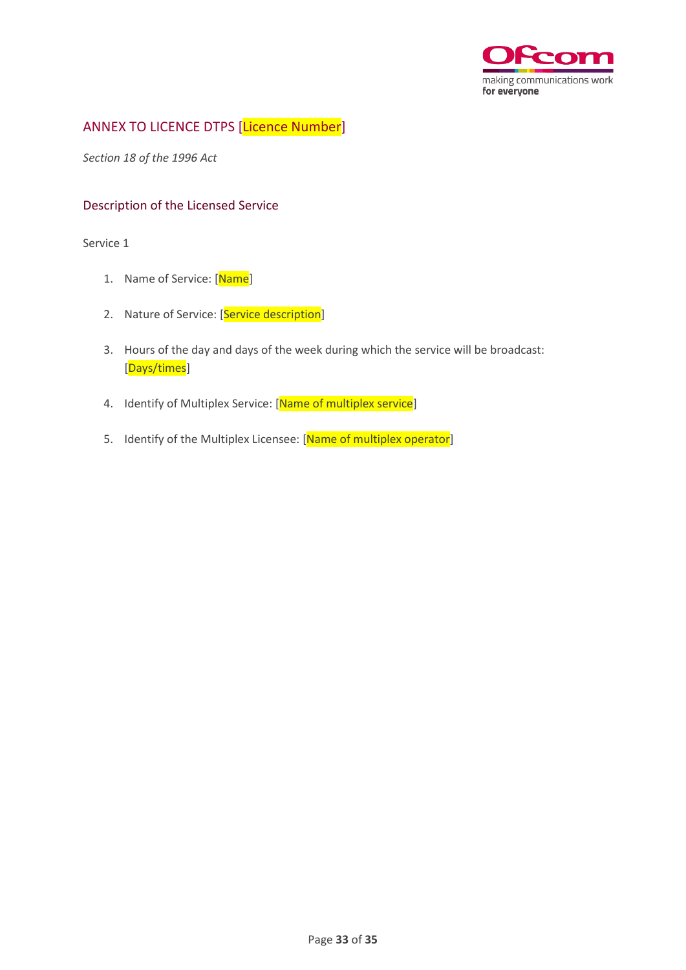

## <span id="page-32-0"></span>ANNEX TO LICENCE DTPS [Licence Number]

*Section 18 of the 1996 Act*

## <span id="page-32-1"></span>Description of the Licensed Service

Service 1

- 1. Name of Service: [Name]
- 2. Nature of Service: [Service description]
- 3. Hours of the day and days of the week during which the service will be broadcast: [Days/times]
- 4. Identify of Multiplex Service: [Name of multiplex service]
- 5. Identify of the Multiplex Licensee: [Name of multiplex operator]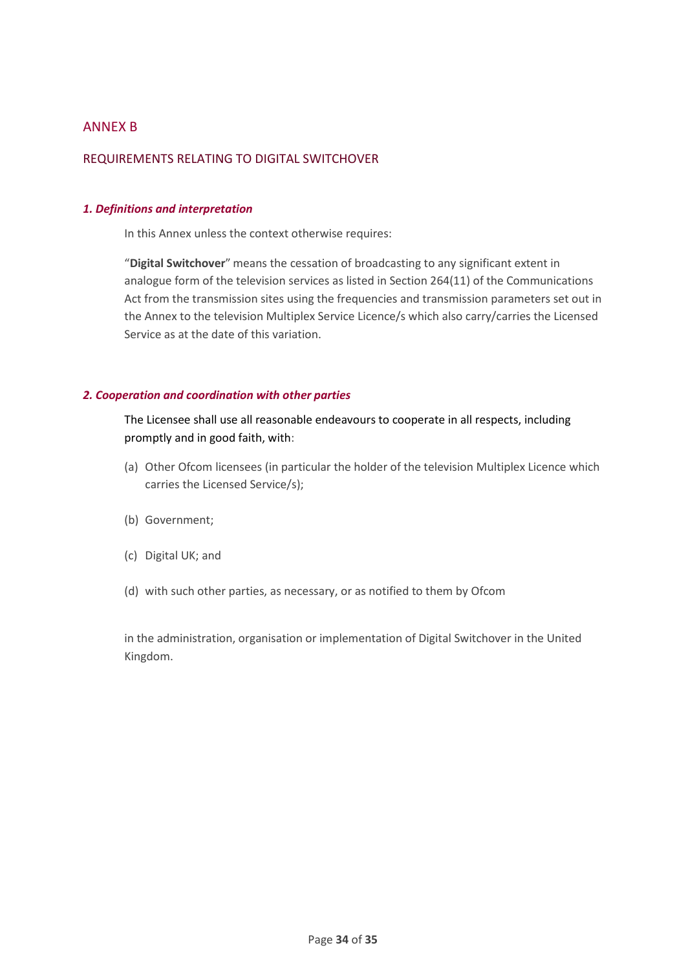## <span id="page-33-0"></span>ANNEX B

## <span id="page-33-1"></span>REQUIREMENTS RELATING TO DIGITAL SWITCHOVER

#### <span id="page-33-2"></span>*1. Definitions and interpretation*

In this Annex unless the context otherwise requires:

"**Digital Switchover**" means the cessation of broadcasting to any significant extent in analogue form of the television services as listed in Section 264(11) of the Communications Act from the transmission sites using the frequencies and transmission parameters set out in the Annex to the television Multiplex Service Licence/s which also carry/carries the Licensed Service as at the date of this variation.

## <span id="page-33-3"></span>*2. Cooperation and coordination with other parties*

The Licensee shall use all reasonable endeavours to cooperate in all respects, including promptly and in good faith, with:

- (a) Other Ofcom licensees (in particular the holder of the television Multiplex Licence which carries the Licensed Service/s);
- (b) Government;
- (c) Digital UK; and
- (d) with such other parties, as necessary, or as notified to them by Ofcom

in the administration, organisation or implementation of Digital Switchover in the United Kingdom.